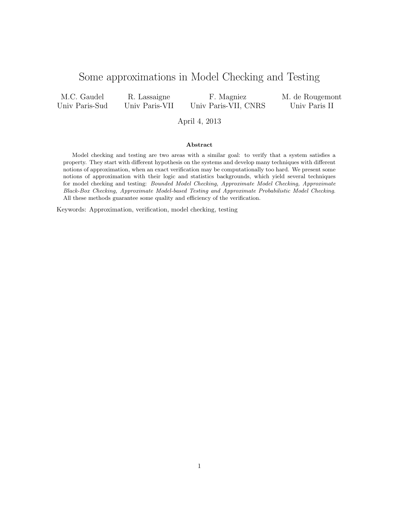# Some approximations in Model Checking and Testing

M.C. Gaudel Univ Paris-Sud

R. Lassaigne Univ Paris-VII

F. Magniez Univ Paris-VII, CNRS M. de Rougemont Univ Paris II

### April 4, 2013

### Abstract

Model checking and testing are two areas with a similar goal: to verify that a system satisfies a property. They start with different hypothesis on the systems and develop many techniques with different notions of approximation, when an exact verification may be computationally too hard. We present some notions of approximation with their logic and statistics backgrounds, which yield several techniques for model checking and testing: Bounded Model Checking, Approximate Model Checking, Approximate Black-Box Checking, Approximate Model-based Testing and Approximate Probabilistic Model Checking. All these methods guarantee some quality and efficiency of the verification.

Keywords: Approximation, verification, model checking, testing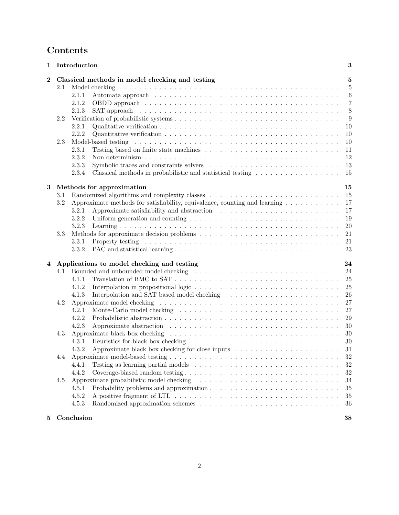# Contents

| 1                |                                                  | Introduction                                                                                                                                                                                                                            | 3              |  |
|------------------|--------------------------------------------------|-----------------------------------------------------------------------------------------------------------------------------------------------------------------------------------------------------------------------------------------|----------------|--|
| $\boldsymbol{2}$ |                                                  | Classical methods in model checking and testing                                                                                                                                                                                         | 5              |  |
|                  | 2.1                                              |                                                                                                                                                                                                                                         | $\overline{5}$ |  |
|                  |                                                  | 2.1.1                                                                                                                                                                                                                                   | $\,6\,$        |  |
|                  |                                                  | 2.1.2                                                                                                                                                                                                                                   | $\overline{7}$ |  |
|                  |                                                  | 2.1.3                                                                                                                                                                                                                                   | 8              |  |
|                  | 2.2                                              |                                                                                                                                                                                                                                         | 9              |  |
|                  |                                                  | 2.2.1                                                                                                                                                                                                                                   | 10             |  |
|                  |                                                  | 2.2.2                                                                                                                                                                                                                                   | 10             |  |
|                  | 2.3                                              |                                                                                                                                                                                                                                         | 10             |  |
|                  |                                                  | 2.3.1                                                                                                                                                                                                                                   | 11             |  |
|                  |                                                  | 2.3.2                                                                                                                                                                                                                                   | 12             |  |
|                  |                                                  | Symbolic traces and constraints solvers<br>2.3.3                                                                                                                                                                                        | 13             |  |
|                  |                                                  | 2.3.4                                                                                                                                                                                                                                   | 15             |  |
| $\bf{3}$         |                                                  |                                                                                                                                                                                                                                         |                |  |
|                  |                                                  | Methods for approximation                                                                                                                                                                                                               | 15<br>15       |  |
|                  | 3.1                                              | Randomized algorithms and complexity classes $\ldots \ldots \ldots \ldots \ldots \ldots \ldots \ldots \ldots$                                                                                                                           |                |  |
|                  | 3.2                                              | Approximate methods for satisfiability, equivalence, counting and learning $\dots \dots \dots$                                                                                                                                          | 17             |  |
|                  |                                                  | 3.2.1                                                                                                                                                                                                                                   | 17             |  |
|                  |                                                  | 3.2.2<br>Uniform generation and counting $\ldots \ldots \ldots \ldots \ldots \ldots \ldots \ldots \ldots \ldots \ldots$                                                                                                                 | 19             |  |
|                  |                                                  | 3.2.3                                                                                                                                                                                                                                   | $20\,$         |  |
|                  | 3.3                                              |                                                                                                                                                                                                                                         | 21             |  |
|                  |                                                  | 3.3.1<br>Property testing respectively and the contract of the contract of the contract of the contract of the contract of the contract of the contract of the contract of the contract of the contract of the contract of the contract | 21             |  |
|                  |                                                  | 3.3.2                                                                                                                                                                                                                                   | 23             |  |
| $\bf{4}$         | Applications to model checking and testing<br>24 |                                                                                                                                                                                                                                         |                |  |
|                  | 4.1                                              |                                                                                                                                                                                                                                         | 24             |  |
|                  |                                                  | Translation of BMC to $SAT \dots \dots \dots \dots \dots \dots \dots \dots \dots \dots \dots \dots \dots \dots$<br>4.1.1                                                                                                                | $25\,$         |  |
|                  |                                                  | Interpolation in propositional logic $\dots \dots \dots \dots \dots \dots \dots \dots \dots \dots \dots \dots$<br>4.1.2                                                                                                                 | 25             |  |
|                  |                                                  | 4.1.3                                                                                                                                                                                                                                   | 26             |  |
|                  | 4.2                                              |                                                                                                                                                                                                                                         | 27             |  |
|                  |                                                  | 4.2.1                                                                                                                                                                                                                                   | 27             |  |
|                  |                                                  | 4.2.2                                                                                                                                                                                                                                   | 29             |  |
|                  |                                                  | 4.2.3                                                                                                                                                                                                                                   | 30             |  |
|                  | 4.3                                              |                                                                                                                                                                                                                                         | $30\,$         |  |
|                  |                                                  | 4.3.1                                                                                                                                                                                                                                   | 30             |  |
|                  |                                                  | Approximate black box checking for close inputs<br>4.3.2                                                                                                                                                                                | 31             |  |
|                  | 4.4                                              |                                                                                                                                                                                                                                         | $32\,$         |  |
|                  |                                                  | Testing as learning partial models $\ldots \ldots \ldots \ldots \ldots \ldots \ldots \ldots \ldots \ldots$<br>4.4.1                                                                                                                     | $32\,$         |  |
|                  |                                                  | 4.4.2                                                                                                                                                                                                                                   | $32\,$         |  |
|                  | 4.5                                              |                                                                                                                                                                                                                                         | 34             |  |
|                  |                                                  | 4.5.1                                                                                                                                                                                                                                   | 35             |  |
|                  |                                                  | 4.5.2                                                                                                                                                                                                                                   | $35\,$         |  |
|                  |                                                  | 4.5.3                                                                                                                                                                                                                                   | 36             |  |
|                  |                                                  |                                                                                                                                                                                                                                         |                |  |
| 5                |                                                  | Conclusion                                                                                                                                                                                                                              | 38             |  |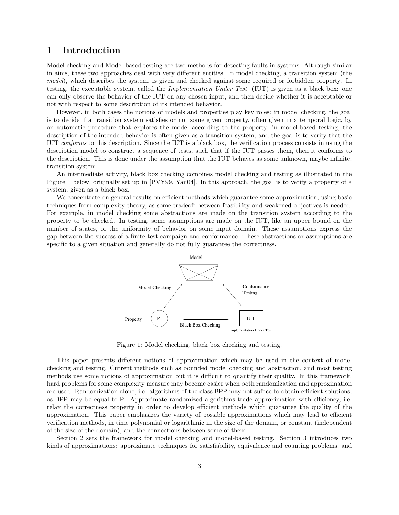# 1 Introduction

Model checking and Model-based testing are two methods for detecting faults in systems. Although similar in aims, these two approaches deal with very different entities. In model checking, a transition system (the model), which describes the system, is given and checked against some required or forbidden property. In testing, the executable system, called the Implementation Under Test (IUT) is given as a black box: one can only observe the behavior of the IUT on any chosen input, and then decide whether it is acceptable or not with respect to some description of its intended behavior.

However, in both cases the notions of models and properties play key roles: in model checking, the goal is to decide if a transition system satisfies or not some given property, often given in a temporal logic, by an automatic procedure that explores the model according to the property; in model-based testing, the description of the intended behavior is often given as a transition system, and the goal is to verify that the IUT conforms to this description. Since the IUT is a black box, the verification process consists in using the description model to construct a sequence of tests, such that if the IUT passes them, then it conforms to the description. This is done under the assumption that the IUT behaves as some unknown, maybe infinite, transition system.

An intermediate activity, black box checking combines model checking and testing as illustrated in the Figure 1 below, originally set up in [PVY99, Yan04]. In this approach, the goal is to verify a property of a system, given as a black box.

We concentrate on general results on efficient methods which guarantee some approximation, using basic techniques from complexity theory, as some tradeoff between feasibility and weakened objectives is needed. For example, in model checking some abstractions are made on the transition system according to the property to be checked. In testing, some assumptions are made on the IUT, like an upper bound on the number of states, or the uniformity of behavior on some input domain. These assumptions express the gap between the success of a finite test campaign and conformance. These abstractions or assumptions are specific to a given situation and generally do not fully guarantee the correctness.



Figure 1: Model checking, black box checking and testing.

This paper presents different notions of approximation which may be used in the context of model checking and testing. Current methods such as bounded model checking and abstraction, and most testing methods use some notions of approximation but it is difficult to quantify their quality. In this framework, hard problems for some complexity measure may become easier when both randomization and approximation are used. Randomization alone, i.e. algorithms of the class BPP may not suffice to obtain efficient solutions, as BPP may be equal to P. Approximate randomized algorithms trade approximation with efficiency, i.e. relax the correctness property in order to develop efficient methods which guarantee the quality of the approximation. This paper emphasizes the variety of possible approximations which may lead to efficient verification methods, in time polynomial or logarithmic in the size of the domain, or constant (independent of the size of the domain), and the connections between some of them.

Section 2 sets the framework for model checking and model-based testing. Section 3 introduces two kinds of approximations: approximate techniques for satisfiability, equivalence and counting problems, and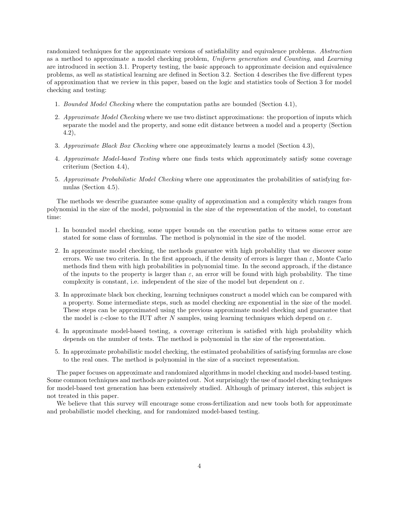randomized techniques for the approximate versions of satisfiability and equivalence problems. Abstraction as a method to approximate a model checking problem, Uniform generation and Counting, and Learning are introduced in section 3.1. Property testing, the basic approach to approximate decision and equivalence problems, as well as statistical learning are defined in Section 3.2. Section 4 describes the five different types of approximation that we review in this paper, based on the logic and statistics tools of Section 3 for model checking and testing:

- 1. Bounded Model Checking where the computation paths are bounded (Section 4.1),
- 2. Approximate Model Checking where we use two distinct approximations: the proportion of inputs which separate the model and the property, and some edit distance between a model and a property (Section 4.2),
- 3. Approximate Black Box Checking where one approximately learns a model (Section 4.3),
- 4. Approximate Model-based Testing where one finds tests which approximately satisfy some coverage criterium (Section 4.4),
- 5. Approximate Probabilistic Model Checking where one approximates the probabilities of satisfying formulas (Section 4.5).

The methods we describe guarantee some quality of approximation and a complexity which ranges from polynomial in the size of the model, polynomial in the size of the representation of the model, to constant time:

- 1. In bounded model checking, some upper bounds on the execution paths to witness some error are stated for some class of formulas. The method is polynomial in the size of the model.
- 2. In approximate model checking, the methods guarantee with high probability that we discover some errors. We use two criteria. In the first approach, if the density of errors is larger than  $\varepsilon$ , Monte Carlo methods find them with high probabilities in polynomial time. In the second approach, if the distance of the inputs to the property is larger than  $\varepsilon$ , an error will be found with high probability. The time complexity is constant, i.e. independent of the size of the model but dependent on  $\varepsilon$ .
- 3. In approximate black box checking, learning techniques construct a model which can be compared with a property. Some intermediate steps, such as model checking are exponential in the size of the model. These steps can be approximated using the previous approximate model checking and guarantee that the model is  $\varepsilon$ -close to the IUT after N samples, using learning techniques which depend on  $\varepsilon$ .
- 4. In approximate model-based testing, a coverage criterium is satisfied with high probability which depends on the number of tests. The method is polynomial in the size of the representation.
- 5. In approximate probabilistic model checking, the estimated probabilities of satisfying formulas are close to the real ones. The method is polynomial in the size of a succinct representation.

The paper focuses on approximate and randomized algorithms in model checking and model-based testing. Some common techniques and methods are pointed out. Not surprisingly the use of model checking techniques for model-based test generation has been extensively studied. Although of primary interest, this subject is not treated in this paper.

We believe that this survey will encourage some cross-fertilization and new tools both for approximate and probabilistic model checking, and for randomized model-based testing.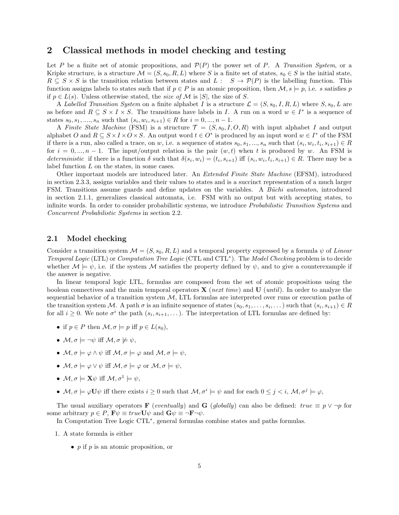## 2 Classical methods in model checking and testing

Let P be a finite set of atomic propositions, and  $\mathcal{P}(P)$  the power set of P. A Transition System, or a Kripke structure, is a structure  $\mathcal{M} = (S, s_0, R, L)$  where S is a finite set of states,  $s_0 \in S$  is the initial state,  $R \subseteq S \times S$  is the transition relation between states and  $L : S \to \mathcal{P}(P)$  is the labelling function. This function assigns labels to states such that if  $p \in P$  is an atomic proposition, then  $\mathcal{M}, s \models p$ , i.e. s satisfies p if  $p \in L(s)$ . Unless otherwise stated, the *size of* M is |S|, the size of S.

A Labelled Transition System on a finite alphabet I is a structure  $\mathcal{L} = (S, s_0, I, R, L)$  where  $S, s_0, L$  are as before and  $R \subseteq S \times I \times S$ . The transitions have labels in I. A run on a word  $w \in I^*$  is a sequence of states  $s_0, s_1, \ldots, s_n$  such that  $(s_i, w_i, s_{i+1}) \in R$  for  $i = 0, \ldots, n-1$ .

A Finite State Machine (FSM) is a structure  $\mathcal{T} = (S, s_0, I, O, R)$  with input alphabet I and output alphabet O and  $R \subseteq S \times I \times O \times S$ . An output word  $t \in O^*$  is produced by an input word  $w \in I^*$  of the FSM if there is a run, also called a trace, on w, i.e. a sequence of states  $s_0, s_1, ..., s_n$  such that  $(s_i, w_i, t_i, s_{i+1}) \in R$ for  $i = 0, ..., n-1$ . The input/output relation is the pair  $(w, t)$  when t is produced by w. An FSM is deterministic if there is a function  $\delta$  such that  $\delta(s_i, w_i) = (t_i, s_{i+1})$  iff  $(s_i, w_i, t_i, s_{i+1}) \in R$ . There may be a label function L on the states, in some cases.

Other important models are introduced later. An Extended Finite State Machine (EFSM), introduced in section 2.3.3, assigns variables and their values to states and is a succinct representation of a much larger FSM. Transitions assume guards and define updates on the variables. A Büchi automaton, introduced in section 2.1.1, generalizes classical automata, i.e. FSM with no output but with accepting states, to infinite words. In order to consider probabilistic systems, we introduce Probabilistic Transition Systems and Concurrent Probabilistic Systems in section 2.2.

### 2.1 Model checking

Consider a transition system  $\mathcal{M} = (S, s_0, R, L)$  and a temporal property expressed by a formula  $\psi$  of Linear Temporal Logic (LTL) or Computation Tree Logic (CTL and CTL<sup>∗</sup> ). The Model Checking problem is to decide whether  $\mathcal{M} \models \psi$ , i.e. if the system M satisfies the property defined by  $\psi$ , and to give a counterexample if the answer is negative.

In linear temporal logic LTL, formulas are composed from the set of atomic propositions using the boolean connectives and the main temporal operators  $\bf{X}$  (next time) and  $\bf{U}$  (until). In order to analyze the sequential behavior of a transition system  $M$ , LTL formulas are interpreted over runs or execution paths of the transition system M. A path  $\sigma$  is an infinite sequence of states  $(s_0, s_1, \ldots, s_i, \ldots)$  such that  $(s_i, s_{i+1}) \in R$ for all  $i \geq 0$ . We note  $\sigma^i$  the path  $(s_i, s_{i+1}, \dots)$ . The interpretation of LTL formulas are defined by:

- if  $p \in P$  then  $\mathcal{M}, \sigma \models p$  iff  $p \in L(s_0)$ ,
- $M, \sigma \models \neg \psi$  iff  $M, \sigma \not\models \psi$ ,
- $M, \sigma \models \varphi \land \psi$  iff  $M, \sigma \models \varphi$  and  $M, \sigma \models \psi$ ,
- $M, \sigma \models \varphi \lor \psi$  iff  $M, \sigma \models \varphi$  or  $M, \sigma \models \psi$ ,
- $\mathcal{M}, \sigma \models \mathbf{X}\psi$  iff  $\mathcal{M}, \sigma^1 \models \psi$ ,
- $M, \sigma \models \varphi \mathbf{U} \psi$  iff there exists  $i \geq 0$  such that  $M, \sigma^i \models \psi$  and for each  $0 \leq j \leq i, M, \sigma^j \models \varphi$ ,

The usual auxiliary operators **F** (eventually) and **G** (globally) can also be defined: true  $\equiv p \vee \neg p$  for some arbitrary  $p \in P$ ,  $\mathbf{F}\psi \equiv true \mathbf{U}\psi$  and  $\mathbf{G}\psi \equiv \neg \mathbf{F}\neg \psi$ .

In Computation Tree Logic CTL<sup>∗</sup> , general formulas combine states and paths formulas.

- 1. A state formula is either
	- $p$  if  $p$  is an atomic proposition, or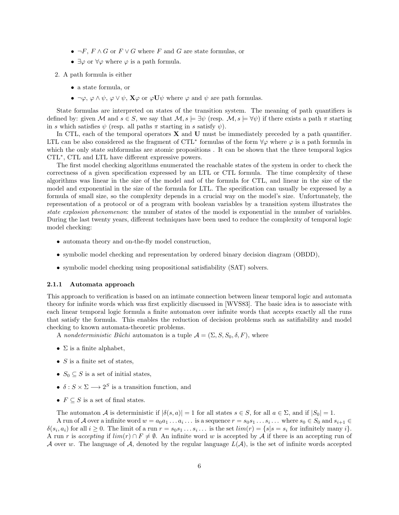- $\neg F$ ,  $F \wedge G$  or  $F \vee G$  where  $F$  and  $G$  are state formulas, or
- $\exists \varphi$  or  $\forall \varphi$  where  $\varphi$  is a path formula.
- 2. A path formula is either
	- a state formula, or
	- $\neg \varphi$ ,  $\varphi \wedge \psi$ ,  $\varphi \vee \psi$ ,  $\mathbf{X}\varphi$  or  $\varphi \mathbf{U}\psi$  where  $\varphi$  and  $\psi$  are path formulas.

State formulas are interpreted on states of the transition system. The meaning of path quantifiers is defined by: given M and  $s \in S$ , we say that  $\mathcal{M}, s \models \exists \psi$  (resp.  $\mathcal{M}, s \models \forall \psi$ ) if there exists a path  $\pi$  starting in s which satisfies  $\psi$  (resp. all paths  $\pi$  starting in s satisfy  $\psi$ ).

In CTL, each of the temporal operators  $X$  and  $U$  must be immediately preceded by a path quantifier. LTL can be also considered as the fragment of CTL<sup>\*</sup> formulas of the form  $\forall \varphi$  where  $\varphi$  is a path formula in which the only state subformulas are atomic propositions. It can be shown that the three temporal logics CTL<sup>∗</sup> , CTL and LTL have different expressive powers.

The first model checking algorithms enumerated the reachable states of the system in order to check the correctness of a given specification expressed by an LTL or CTL formula. The time complexity of these algorithms was linear in the size of the model and of the formula for CTL, and linear in the size of the model and exponential in the size of the formula for LTL. The specification can usually be expressed by a formula of small size, so the complexity depends in a crucial way on the model's size. Unfortunately, the representation of a protocol or of a program with boolean variables by a transition system illustrates the state explosion phenomenon: the number of states of the model is exponential in the number of variables. During the last twenty years, different techniques have been used to reduce the complexity of temporal logic model checking:

- automata theory and on-the-fly model construction,
- symbolic model checking and representation by ordered binary decision diagram (OBDD),
- symbolic model checking using propositional satisfiability (SAT) solvers.

#### 2.1.1 Automata approach

This approach to verification is based on an intimate connection between linear temporal logic and automata theory for infinite words which was first explicitly discussed in [WVS83]. The basic idea is to associate with each linear temporal logic formula a finite automaton over infinite words that accepts exactly all the runs that satisfy the formula. This enables the reduction of decision problems such as satifiability and model checking to known automata-theoretic problems.

A nondeterministic Büchi automaton is a tuple  $\mathcal{A} = (\Sigma, S, S_0, \delta, F)$ , where

- $\Sigma$  is a finite alphabet,
- $S$  is a finite set of states,
- $S_0 \subseteq S$  is a set of initial states,
- $\delta: S \times \Sigma \longrightarrow 2^S$  is a transition function, and
- $F \subseteq S$  is a set of final states.

The automaton A is deterministic if  $|\delta(s, a)| = 1$  for all states  $s \in S$ , for all  $a \in \Sigma$ , and if  $|S_0| = 1$ .

A run of A over a infinite word  $w = a_0a_1 \ldots a_i \ldots$  is a sequence  $r = s_0s_1 \ldots s_i \ldots$  where  $s_0 \in S_0$  and  $s_{i+1} \in S_0$  $\delta(s_i, a_i)$  for all  $i \geq 0$ . The limit of a run  $r = s_0 s_1 \dots s_i \dots$  is the set  $\lim(r) = \{s | s = s_i \text{ for infinitely many } i\}.$ A run r is accepting if  $\lim(r) \cap F \neq \emptyset$ . An infinite word w is accepted by A if there is an accepting run of A over w. The language of A, denoted by the regular language  $L(\mathcal{A})$ , is the set of infinite words accepted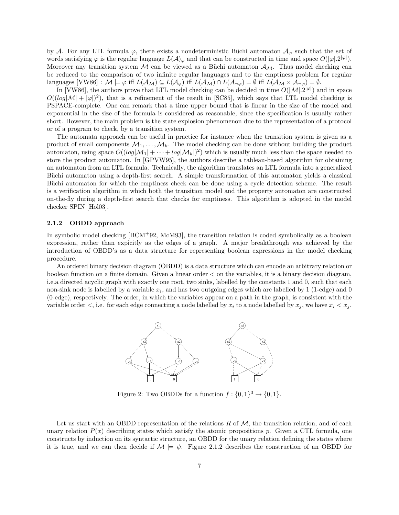by A. For any LTL formula  $\varphi$ , there exists a nondeterministic Büchi automaton  $\mathcal{A}_{\varphi}$  such that the set of words satisfying  $\varphi$  is the regular language  $L(\mathcal{A})_{\varphi}$  and that can be constructed in time and space  $O(|\varphi|.2^{|\varphi|})$ . Moreover any transition system M can be viewed as a Büchi automaton  $\mathcal{A}_{\mathcal{M}}$ . Thus model checking can be reduced to the comparison of two infinite regular languages and to the emptiness problem for regular languages  $[VW86] : \mathcal{M} \models \varphi$  iff  $L(\mathcal{A}_{\mathcal{M}}) \subseteq L(\mathcal{A}_{\varphi})$  iff  $L(\mathcal{A}_{\mathcal{M}}) \cap L(\mathcal{A}_{\neg \varphi}) = \emptyset$  iff  $L(\mathcal{A}_{\mathcal{M}} \times \mathcal{A}_{\neg \varphi}) = \emptyset$ .

In [VW86], the authors prove that LTL model checking can be decided in time  $O(|\mathcal{M}|.2^{|\varphi|})$  and in space  $O((log|\mathcal{M}| + |\varphi|)^2)$ , that is a refinement of the result in [SC85], which says that LTL model checking is PSPACE-complete. One can remark that a time upper bound that is linear in the size of the model and exponential in the size of the formula is considered as reasonable, since the specification is usually rather short. However, the main problem is the state explosion phenomenon due to the representation of a protocol or of a program to check, by a transition system.

The automata approach can be useful in practice for instance when the transition system is given as a product of small components  $\mathcal{M}_1, \ldots, \mathcal{M}_k$ . The model checking can be done without building the product automaton, using space  $O((log|M_1| + \cdots + log|M_k|)^2)$  which is usually much less than the space needed to store the product automaton. In [GPVW95], the authors describe a tableau-based algorithm for obtaining an automaton from an LTL formula. Technically, the algorithm translates an LTL formula into a generalized Büchi automaton using a depth-first search. A simple transformation of this automaton yields a classical Büchi automaton for which the emptiness check can be done using a cycle detection scheme. The result is a verification algorithm in which both the transition model and the property automaton are constructed on-the-fly during a depth-first search that checks for emptiness. This algorithm is adopted in the model checker SPIN [Hol03].

### 2.1.2 OBDD approach

In symbolic model checking [BCM+92, McM93], the transition relation is coded symbolically as a boolean expression, rather than expicitly as the edges of a graph. A major breakthrough was achieved by the introduction of OBDD's as a data structure for representing boolean expressions in the model checking procedure.

An ordered binary decision diagram (OBDD) is a data structure which can encode an arbitrary relation or boolean function on a finite domain. Given a linear order < on the variables, it is a binary decision diagram, i.e.a directed acyclic graph with exactly one root, two sinks, labelled by the constants 1 and 0, such that each non-sink node is labelled by a variable  $x_i$ , and has two outgoing edges which are labelled by 1 (1-edge) and 0 (0-edge), respectively. The order, in which the variables appear on a path in the graph, is consistent with the variable order  $\lt,$ , i.e. for each edge connecting a node labelled by  $x_i$  to a node labelled by  $x_j$ , we have  $x_i \lt x_j$ .



Figure 2: Two OBDDs for a function  $f: \{0,1\}^3 \to \{0,1\}.$ 

Let us start with an OBDD representation of the relations R of  $M$ , the transition relation, and of each unary relation  $P(x)$  describing states which satisfy the atomic propositions p. Given a CTL formula, one constructs by induction on its syntactic structure, an OBDD for the unary relation defining the states where it is true, and we can then decide if  $\mathcal{M} \models \psi$ . Figure 2.1.2 describes the construction of an OBDD for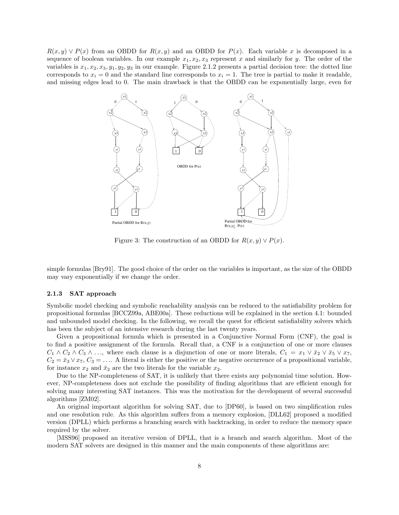$R(x, y) \vee P(x)$  from an OBDD for  $R(x, y)$  and an OBDD for  $P(x)$ . Each variable x is decomposed in a sequence of boolean variables. In our example  $x_1, x_2, x_3$  represent x and similarly for y. The order of the variables is  $x_1, x_2, x_3, y_1, y_2, y_3$  in our example. Figure 2.1.2 presents a partial decision tree: the dotted line corresponds to  $x_i = 0$  and the standard line corresponds to  $x_i = 1$ . The tree is partial to make it readable, and missing edges lead to 0. The main drawback is that the OBDD can be exponentially large, even for



Figure 3: The construction of an OBDD for  $R(x, y) \vee P(x)$ .

simple formulas [Bry91]. The good choice of the order on the variables is important, as the size of the OBDD may vary exponentially if we change the order.

### 2.1.3 SAT approach

Symbolic model checking and symbolic reachability analysis can be reduced to the satisfiability problem for propositional formulas [BCCZ99a, ABE00a]. These reductions will be explained in the section 4.1: bounded and unbounded model checking. In the following, we recall the quest for efficient satisfiability solvers which has been the subject of an intensive research during the last twenty years.

Given a propositional formula which is presented in a Conjunctive Normal Form (CNF), the goal is to find a positive assignment of the formula. Recall that, a CNF is a conjunction of one or more clauses  $C_1 \wedge C_2 \wedge C_3 \wedge \ldots$ , where each clause is a disjunction of one or more literals,  $C_1 = x_1 \vee \bar{x}_2 \vee \bar{x}_5 \vee x_7$ ,  $C_2 = \bar{x}_3 \vee x_7, C_3 = \ldots$  A literal is either the positive or the negative occurrence of a propositional variable, for instance  $x_2$  and  $\bar{x}_2$  are the two literals for the variable  $x_2$ .

Due to the NP-completeness of SAT, it is unlikely that there exists any polynomial time solution. However, NP-completeness does not exclude the possibility of finding algorithms that are efficient enough for solving many interesting SAT instances. This was the motivation for the development of several successful algorithms [ZM02].

An original important algorithm for solving SAT, due to [DP60], is based on two simplification rules and one resolution rule. As this algorithm suffers from a memory explosion, [DLL62] proposed a modified version (DPLL) which performs a branching search with backtracking, in order to reduce the memory space required by the solver.

[MSS96] proposed an iterative version of DPLL, that is a branch and search algorithm. Most of the modern SAT solvers are designed in this manner and the main components of these algorithms are: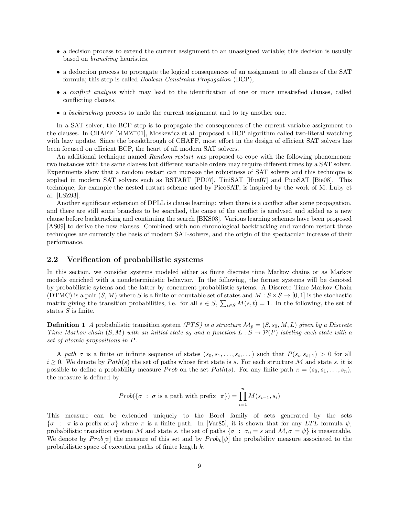- a decision process to extend the current assignment to an unassigned variable; this decision is usually based on branching heuristics,
- a deduction process to propagate the logical consequences of an assignment to all clauses of the SAT formula; this step is called Boolean Constraint Propagation (BCP),
- a *conflict analysis* which may lead to the identification of one or more unsatisfied clauses, called conflicting clauses,
- a backtracking process to undo the current assignment and to try another one.

In a SAT solver, the BCP step is to propagate the consequences of the current variable assignment to the clauses. In CHAFF  $[MMZ^+01]$ , Moskewicz et al. proposed a BCP algorithm called two-literal watching with lazy update. Since the breakthrough of CHAFF, most effort in the design of efficient SAT solvers has been focused on efficient BCP, the heart of all modern SAT solvers.

An additional technique named Random restart was proposed to cope with the following phenomenon: two instances with the same clauses but different variable orders may require different times by a SAT solver. Experiments show that a random restart can increase the robustness of SAT solvers and this technique is applied in modern SAT solvers such as RSTART [PD07], TiniSAT [Hua07] and PicoSAT [Bie08]. This technique, for example the nested restart scheme used by PicoSAT, is inspired by the work of M. Luby et al. [LSZ93].

Another significant extension of DPLL is clause learning: when there is a conflict after some propagation, and there are still some branches to be searched, the cause of the conflict is analysed and added as a new clause before backtracking and continuing the search [BKS03]. Various learning schemes have been proposed [AS09] to derive the new clauses. Combined with non chronological backtracking and random restart these techniques are currently the basis of modern SAT-solvers, and the origin of the spectacular increase of their performance.

### 2.2 Verification of probabilistic systems

In this section, we consider systems modeled either as finite discrete time Markov chains or as Markov models enriched with a nondeterministic behavior. In the following, the former systems will be denoted by probabilistic sytems and the latter by concurrent probabilistic sytems. A Discrete Time Markov Chain (DTMC) is a pair  $(S, M)$  where S is a finite or countable set of states and  $M : S \times S \to [0, 1]$  is the stochastic matrix giving the transition probabilities, i.e. for all  $s \in S$ ,  $\sum_{t \in S} M(s, t) = 1$ . In the following, the set of states  $S$  is finite.

**Definition 1** A probabilistic transition system (PTS) is a structure  $\mathcal{M}_p = (S, s_0, M, L)$  given by a Discrete Time Markov chain  $(S, M)$  with an initial state  $s_0$  and a function  $L : S \to \mathcal{P}(P)$  labeling each state with a set of atomic propositions in P.

A path  $\sigma$  is a finite or infinite sequence of states  $(s_0, s_1, \ldots, s_i, \ldots)$  such that  $P(s_i, s_{i+1}) > 0$  for all  $i \geq 0$ . We denote by  $Path(s)$  the set of paths whose first state is s. For each structure M and state s, it is possible to define a probability measure Prob on the set Path(s). For any finite path  $\pi = (s_0, s_1, \ldots, s_n)$ , the measure is defined by:

$$
Prob(\{\sigma \ : \ \sigma \text{ is a path with prefix } \pi\}) = \prod_{i=1}^{n} M(s_{i-1}, s_i)
$$

This measure can be extended uniquely to the Borel family of sets generated by the sets  ${\sigma : \pi$  is a prefix of  $\sigma$ } where  $\pi$  is a finite path. In [Var85], it is shown that for any LTL formula  $\psi$ , probabilistic transition system M and state s, the set of paths  $\{\sigma : \sigma_0 = s \text{ and } \mathcal{M}, \sigma \models \psi\}$  is measurable. We denote by  $Prob[\psi]$  the measure of this set and by  $Prob_k[\psi]$  the probability measure associated to the probabilistic space of execution paths of finite length k.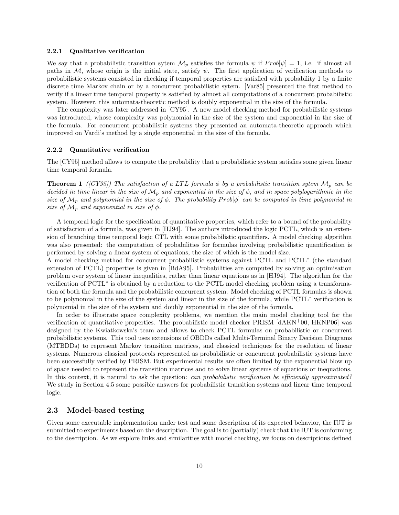#### 2.2.1 Qualitative verification

We say that a probabilistic transition sytem  $\mathcal{M}_p$  satisfies the formula  $\psi$  if  $Prob[\psi] = 1$ , i.e. if almost all paths in  $M$ , whose origin is the initial state, satisfy  $\psi$ . The first application of verification methods to probabilistic systems consisted in checking if temporal properties are satisfied with probability 1 by a finite discrete time Markov chain or by a concurrent probabilistic sytem. [Var85] presented the first method to verify if a linear time temporal property is satisfied by almost all computations of a concurrent probabilistic system. However, this automata-theoretic method is doubly exponential in the size of the formula.

The complexity was later addressed in [CY95]. A new model checking method for probabilistic systems was introduced, whose complexity was polynomial in the size of the system and exponential in the size of the formula. For concurrent probabilistic systems they presented an automata-theoretic approach which improved on Vardi's method by a single exponential in the size of the formula.

#### 2.2.2 Quantitative verification

The [CY95] method allows to compute the probability that a probabilistic system satisfies some given linear time temporal formula.

**Theorem 1** ([CY95]) The satisfaction of a LTL formula  $\phi$  by a probabilistic transition sytem  $\mathcal{M}_p$  can be decided in time linear in the size of  $\mathcal{M}_p$  and exponential in the size of  $\phi$ , and in space polylogarithmic in the size of  $\mathcal{M}_p$  and polynomial in the size of  $\phi$ . The probability Prob[ $\phi$ ] can be computed in time polynomial in size of  $\mathcal{M}_p$  and exponential in size of  $\phi$ .

A temporal logic for the specification of quantitative properties, which refer to a bound of the probability of satisfaction of a formula, was given in [HJ94]. The authors introduced the logic PCTL, which is an extension of branching time temporal logic CTL with some probabilistic quantifiers. A model checking algorithm was also presented: the computation of probabilities for formulas involving probabilistic quantification is performed by solving a linear system of equations, the size of which is the model size.

A model checking method for concurrent probabilistic systems against PCTL and PCTL<sup>∗</sup> (the standard extension of PCTL) properties is given in [BdA95]. Probabilities are computed by solving an optimisation problem over system of linear inequalities, rather than linear equations as in [HJ94]. The algorithm for the verification of PCTL<sup>\*</sup> is obtained by a reduction to the PCTL model checking problem using a transformation of both the formula and the probabilistic concurrent system. Model checking of PCTL formulas is shown to be polynomial in the size of the system and linear in the size of the formula, while PCTL<sup>∗</sup> verification is polynomial in the size of the system and doubly exponential in the size of the formula.

In order to illustrate space complexity problems, we mention the main model checking tool for the verification of quantitative properties. The probabilistic model checker PRISM [dAKN+00, HKNP06] was designed by the Kwiatkowska's team and allows to check PCTL formulas on probabilistic or concurrent probabilistic systems. This tool uses extensions of OBDDs called Multi-Terminal Binary Decision Diagrams (MTBDDs) to represent Markov transition matrices, and classical techniques for the resolution of linear systems. Numerous classical protocols represented as probabilistic or concurrent probabilistic systems have been successfully verified by PRISM. But experimental results are often limited by the exponential blow up of space needed to represent the transition matrices and to solve linear systems of equations or inequations. In this context, it is natural to ask the question: *can probabilistic verification be efficiently approximated?* We study in Section 4.5 some possible answers for probabilistic transition systems and linear time temporal logic.

### 2.3 Model-based testing

Given some executable implementation under test and some description of its expected behavior, the IUT is submitted to experiments based on the description. The goal is to (partially) check that the IUT is conforming to the description. As we explore links and similarities with model checking, we focus on descriptions defined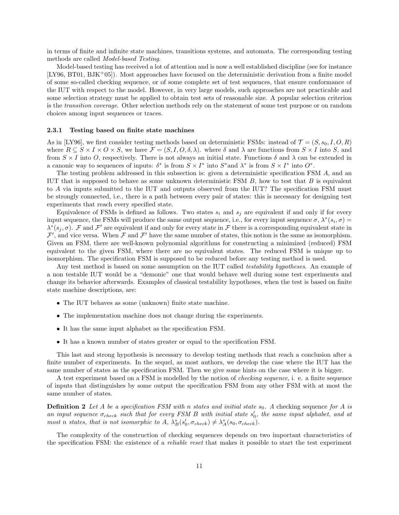in terms of finite and infinite state machines, transitions systems, and automata. The corresponding testing methods are called Model-based Testing.

Model-based testing has received a lot of attention and is now a well established discipline (see for instance [LY96, BT01, BJK+05]). Most approaches have focused on the deterministic derivation from a finite model of some so-called checking sequence, or of some complete set of test sequences, that ensure conformance of the IUT with respect to the model. However, in very large models, such approaches are not practicable and some selection strategy must be applied to obtain test sets of reasonable size. A popular selection criterion is the transition coverage. Other selection methods rely on the statement of some test purpose or on random choices among input sequences or traces.

#### 2.3.1 Testing based on finite state machines

As in [LY96], we first consider testing methods based on deterministic FSMs: instead of  $\mathcal{T} = (S, s_0, I, O, R)$ where  $R \subseteq S \times I \times O \times S$ , we have  $\mathcal{F} = (S, I, O, \delta, \lambda)$ . where  $\delta$  and  $\lambda$  are functions from  $S \times I$  into S, and from  $S \times I$  into O, respectively. There is not always an initial state. Functions  $\delta$  and  $\lambda$  can be extended in a canonic way to sequences of inputs:  $\delta^*$  is from  $S \times I^*$  into  $S^*$  and  $\lambda^*$  is from  $S \times I^*$  into  $O^*$ .

The testing problem addressed in this subsection is: given a deterministic specification FSM A, and an IUT that is supposed to behave as some unknown deterministic FSM  $B$ , how to test that  $B$  is equivalent to A via inputs submitted to the IUT and outputs observed from the IUT? The specification FSM must be strongly connected, i.e., there is a path between every pair of states: this is necessary for designing test experiments that reach every specified state.

Equivalence of FSMs is defined as follows. Two states  $s_i$  and  $s_j$  are equivalent if and only if for every input sequence, the FSMs will produce the same output sequence, i.e., for every input sequence  $\sigma$ ,  $\lambda^*(s_i, \sigma)$  $\lambda^*(s_j, \sigma)$ . F and F' are equivalent if and only for every state in F there is a corresponding equivalent state in  $\mathcal{F}'$ , and vice versa. When  $\mathcal F$  and  $\mathcal F'$  have the same number of states, this notion is the same as isomorphism. Given an FSM, there are well-known polynomial algorithms for constructing a minimized (reduced) FSM equivalent to the given FSM, where there are no equivalent states. The reduced FSM is unique up to isomorphism. The specification FSM is supposed to be reduced before any testing method is used.

Any test method is based on some assumption on the IUT called *testability hypotheses*. An example of a non testable IUT would be a "demonic" one that would behave well during some test experiments and change its behavior afterwards. Examples of classical testability hypotheses, when the test is based on finite state machine descriptions, are:

- The IUT behaves as some (unknown) finite state machine.
- The implementation machine does not change during the experiments.
- It has the same input alphabet as the specification FSM.
- It has a known number of states greater or equal to the specification FSM.

This last and strong hypothesis is necessary to develop testing methods that reach a conclusion after a finite number of experiments. In the sequel, as most authors, we develop the case where the IUT has the same number of states as the specification FSM. Then we give some hints on the case where it is bigger.

A test experiment based on a FSM is modelled by the notion of checking sequence, i. e. a finite sequence of inputs that distinguishes by some output the specification FSM from any other FSM with at most the same number of states.

**Definition 2** Let A be a specification FSM with n states and initial state  $s_0$ . A checking sequence for A is an input sequence  $\sigma_{check}$  such that for every FSM B with initial state  $s'_0$ , the same input alphabet, and at most n states, that is not isomorphic to A,  $\lambda_B^*(s'_0, \sigma_{check}) \neq \lambda_A^*(s_0, \sigma_{check})$ .

The complexity of the construction of checking sequences depends on two important characteristics of the specification FSM: the existence of a *reliable reset* that makes it possible to start the test experiment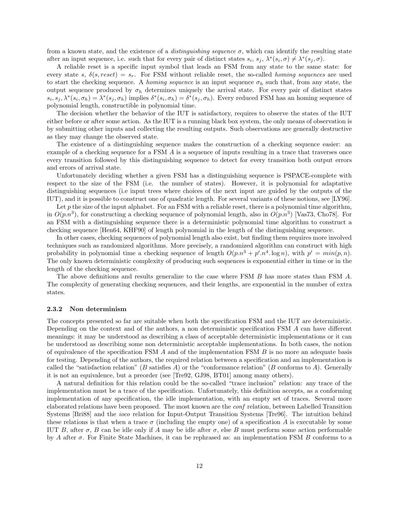from a known state, and the existence of a *distinguishing sequence*  $\sigma$ , which can identify the resulting state after an input sequence, i.e. such that for every pair of distinct states  $s_i$ ,  $s_j$ ,  $\lambda^*(s_i, \sigma) \neq \lambda^*(s_j, \sigma)$ .

A reliable reset is a specific input symbol that leads an FSM from any state to the same state: for every state s,  $\delta(s, reset) = s_r$ . For FSM without reliable reset, the so-called *homing sequences* are used to start the checking sequence. A homing sequence is an input sequence  $\sigma_h$  such that, from any state, the output sequence produced by  $\sigma_h$  determines uniquely the arrival state. For every pair of distinct states  $s_i, s_j, \lambda^*(s_i, \sigma_h) = \lambda^*(s_j, \sigma_h)$  implies  $\delta^*(s_i, \sigma_h) = \delta^*(s_j, \sigma_h)$ . Every reduced FSM has an homing sequence of polynomial length, constructible in polynomial time.

The decision whether the behavior of the IUT is satisfactory, requires to observe the states of the IUT either before or after some action. As the IUT is a running black box system, the only means of observation is by submitting other inputs and collecting the resulting outputs. Such observations are generally destructive as they may change the observed state.

The existence of a distinguishing sequence makes the construction of a checking sequence easier: an example of a checking sequence for a FSM A is a sequence of inputs resulting in a trace that traverses once every transition followed by this distinguishing sequence to detect for every transition both output errors and errors of arrival state.

Unfortunately deciding whether a given FSM has a distinguishing sequence is PSPACE-complete with respect to the size of the FSM (i.e. the number of states). However, it is polynomial for adaptative distinguishing sequences (i.e input trees where choices of the next input are guided by the outputs of the IUT), and it is possible to construct one of quadratic length. For several variants of these notions, see [LY96].

Let  $p$  the size of the input alphabet. For an FSM with a reliable reset, there is a polynomial time algorithm, in  $O(p.n^3)$ , for constructing a checking sequence of polynomial length, also in  $O(p.n^3)$  [Vas73, Cho78]. For an FSM with a distinguishing sequence there is a deterministic polynomial time algorithm to construct a checking sequence [Hen64, KHF90] of length polynomial in the length of the distinguishing sequence.

In other cases, checking sequences of polynomial length also exist, but finding them requires more involved techniques such as randomized algorithms. More precisely, a randomized algorithm can construct with high probability in polynomial time a checking sequence of length  $O(p.n^3 + p' n^4 \cdot \log n)$ , with  $p' = min(p,n)$ . The only known deterministic complexity of producing such sequences is exponential either in time or in the length of the checking sequence.

The above definitions and results generalize to the case where FSM B has more states than FSM A. The complexity of generating checking sequences, and their lengths, are exponential in the number of extra states.

#### 2.3.2 Non determinism

The concepts presented so far are suitable when both the specification FSM and the IUT are deterministic. Depending on the context and of the authors, a non deterministic specification FSM A can have different meanings: it may be understood as describing a class of acceptable deterministic implementations or it can be understood as describing some non deterministic acceptable implementations. In both cases, the notion of equivalence of the specification FSM A and of the implementation FSM B is no more an adequate basis for testing. Depending of the authors, the required relation between a specification and an implementation is called the "satisfaction relation" (B satisfies A) or the "conformance relation" (B conforms to A). Generally it is not an equivalence, but a preorder (see [Tre92, GJ98, BT01] among many others).

A natural definition for this relation could be the so-called "trace inclusion" relation: any trace of the implementation must be a trace of the specification. Unfortunately, this definition accepts, as a conforming implementation of any specification, the idle implementation, with an empty set of traces. Several more elaborated relations have been proposed. The most known are the conf relation, between Labelled Transition Systems [Bri88] and the ioco relation for Input-Output Transition Systems [Tre96]. The intuition behind these relations is that when a trace  $\sigma$  (including the empty one) of a specification A is executable by some IUT B, after  $\sigma$ , B can be idle only if A may be idle after  $\sigma$ , else B must perform some action performable by A after  $\sigma$ . For Finite State Machines, it can be rephrased as: an implementation FSM B conforms to a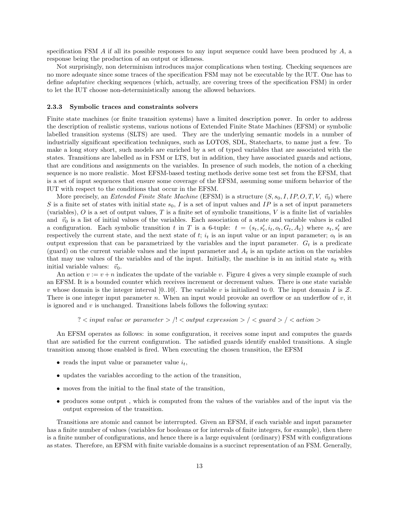specification FSM  $\ddot{A}$  if all its possible responses to any input sequence could have been produced by  $\ddot{A}$ , a response being the production of an output or idleness.

Not surprisingly, non determinism introduces major complications when testing. Checking sequences are no more adequate since some traces of the specification FSM may not be executable by the IUT. One has to define adaptative checking sequences (which, actually, are covering trees of the specification FSM) in order to let the IUT choose non-deterministically among the allowed behaviors.

### 2.3.3 Symbolic traces and constraints solvers

Finite state machines (or finite transition systems) have a limited description power. In order to address the description of realistic systems, various notions of Extended Finite State Machines (EFSM) or symbolic labelled transition systems (SLTS) are used. They are the underlying semantic models in a number of industrially significant specification techniques, such as LOTOS, SDL, Statecharts, to name just a few. To make a long story short, such models are enriched by a set of typed variables that are associated with the states. Transitions are labelled as in FSM or LTS, but in addition, they have associated guards and actions, that are conditions and assignments on the variables. In presence of such models, the notion of a checking sequence is no more realistic. Most EFSM-based testing methods derive some test set from the EFSM, that is a set of input sequences that ensure some coverage of the EFSM, assuming some uniform behavior of the IUT with respect to the conditions that occur in the EFSM.

More precisely, an *Extended Finite State Machine* (EFSM) is a structure  $(S, s_0, I, IP, O, T, V, \vec{v}_0)$  where S is a finite set of states with initial state  $s_0$ , I is a set of input values and IP is a set of input parameters (variables),  $O$  is a set of output values,  $T$  is a finite set of symbolic transitions,  $V$  is a finite list of variables and  $\vec{v}_0$  is a list of initial values of the variables. Each association of a state and variable values is called a configuration. Each symbolic transition t in T is a 6-tuple:  $t = (s_t, s'_t, i_t, o_t, G_t, A_t)$  where  $s_t, s'_t$  are respectively the current state, and the next state of  $t$ ;  $i_t$  is an input value or an input parameter;  $o_t$  is an output expression that can be parametrized by the variables and the input parameter.  $G_t$  is a predicate (guard) on the current variable values and the input parameter and  $A_t$  is an update action on the variables that may use values of the variables and of the input. Initially, the machine is in an initial state  $s_0$  with initial variable values:  $\vec{v}_0$ .

An action  $v := v + n$  indicates the update of the variable v. Figure 4 gives a very simple example of such an EFSM. It is a bounded counter which receives increment or decrement values. There is one state variable v whose domain is the integer interval [0..10]. The variable v is initialized to 0. The input domain I is  $\mathcal Z$ . There is one integer input parameter n. When an input would provoke an overflow or an underflow of  $v$ , it is ignored and  $v$  is unchanged. Transitions labels follows the following syntax:

?  $\lt$  input value or parameter  $>$  /!  $\lt$  output expression  $>$  /  $\lt$  guard  $>$  /  $\lt$  action  $>$ 

An EFSM operates as follows: in some configuration, it receives some input and computes the guards that are satisfied for the current configuration. The satisfied guards identify enabled transitions. A single transition among those enabled is fired. When executing the chosen transition, the EFSM

- reads the input value or parameter value  $i_t$ ,
- updates the variables according to the action of the transition,
- moves from the initial to the final state of the transition,
- produces some output, which is computed from the values of the variables and of the input via the output expression of the transition.

Transitions are atomic and cannot be interrupted. Given an EFSM, if each variable and input parameter has a finite number of values (variables for booleans or for intervals of finite integers, for example), then there is a finite number of configurations, and hence there is a large equivalent (ordinary) FSM with configurations as states. Therefore, an EFSM with finite variable domains is a succinct representation of an FSM. Generally,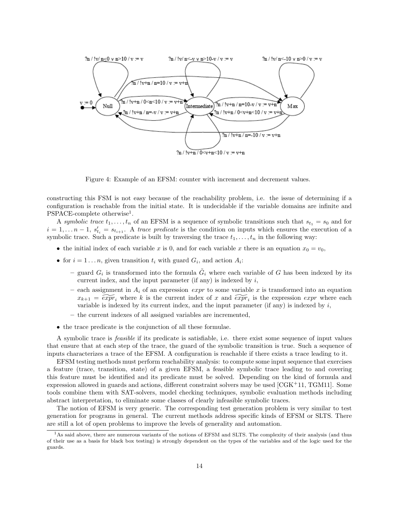

Figure 4: Example of an EFSM: counter with increment and decrement values.

constructing this FSM is not easy because of the reachability problem, i.e. the issue of determining if a configuration is reachable from the initial state. It is undecidable if the variable domains are infinite and PSPACE-complete otherwise<sup>1</sup>.

A symbolic trace  $t_1, \ldots, t_n$  of an EFSM is a sequence of symbolic transitions such that  $s_{t_1} = s_0$  and for  $i = 1, \ldots n-1$ ,  $s'_{t_i} = s_{t_{i+1}}$ . A trace predicate is the condition on inputs which ensures the execution of a symbolic trace. Such a predicate is built by traversing the trace  $t_1, \ldots, t_n$  in the following way:

- the initial index of each variable x is 0, and for each variable x there is an equation  $x_0 = v_0$ ,
- for  $i = 1 \ldots n$ , given transition  $t_i$  with guard  $G_i$ , and action  $A_i$ :
	- guard  $G_i$  is transformed into the formula  $\tilde{G}_i$  where each variable of G has been indexed by its current index, and the input parameter (if any) is indexed by  $i$ ,
	- each assignment in  $A_i$  of an expression expr to some variable x is transformed into an equation  $x_{k+1} = \widetilde{expr}_i$  where k is the current index of x and  $\widetilde{expr}_i$  is the expression expr where each variable is indexed by its current index, and the input parameter (if any) is indexed by  $i$ ,
	- the current indexes of all assigned variables are incremented,
- the trace predicate is the conjunction of all these formulae.

A symbolic trace is feasible if its predicate is satisfiable, i.e. there exist some sequence of input values that ensure that at each step of the trace, the guard of the symbolic transition is true. Such a sequence of inputs characterizes a trace of the EFSM. A configuration is reachable if there exists a trace leading to it.

EFSM testing methods must perform reachability analysis: to compute some input sequence that exercises a feature (trace, transition, state) of a given EFSM, a feasible symbolic trace leading to and covering this feature must be identified and its predicate must be solved. Depending on the kind of formula and expression allowed in guards and actions, different constraint solvers may be used  $[\text{CGK}^+11, \text{TGM11}]$ . Some tools combine them with SAT-solvers, model checking techniques, symbolic evaluation methods including abstract interpretation, to eliminate some classes of clearly infeasible symbolic traces.

The notion of EFSM is very generic. The corresponding test generation problem is very similar to test generation for programs in general. The current methods address specific kinds of EFSM or SLTS. There are still a lot of open problems to improve the levels of generality and automation.

<sup>&</sup>lt;sup>1</sup>As said above, there are numerous variants of the notions of EFSM and SLTS. The complexity of their analysis (and thus of their use as a basis for black box testing) is strongly dependent on the types of the variables and of the logic used for the guards.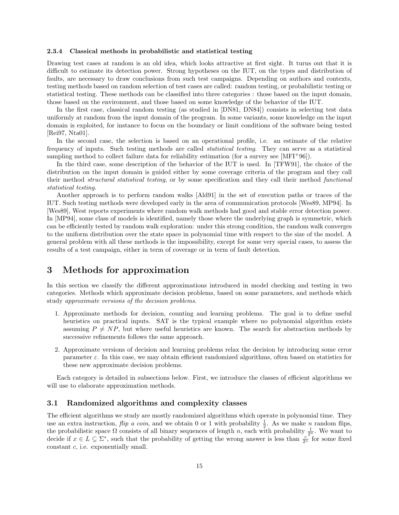#### 2.3.4 Classical methods in probabilistic and statistical testing

Drawing test cases at random is an old idea, which looks attractive at first sight. It turns out that it is difficult to estimate its detection power. Strong hypotheses on the IUT, on the types and distribution of faults, are necessary to draw conclusions from such test campaigns. Depending on authors and contexts, testing methods based on random selection of test cases are called: random testing, or probabilistic testing or statistical testing. These methods can be classified into three categories : those based on the input domain, those based on the environment, and those based on some knowledge of the behavior of the IUT.

In the first case, classical random testing (as studied in [DN81, DN84]) consists in selecting test data uniformly at random from the input domain of the program. In some variants, some knowledge on the input domain is exploited, for instance to focus on the boundary or limit conditions of the software being tested [Rei97, Nta01].

In the second case, the selection is based on an operational profile, i.e. an estimate of the relative frequency of inputs. Such testing methods are called statistical testing. They can serve as a statistical sampling method to collect failure data for reliability estimation (for a survey see [MFI+96]).

In the third case, some description of the behavior of the IUT is used. In [TFW91], the choice of the distribution on the input domain is guided either by some coverage criteria of the program and they call their method structural statistical testing, or by some specification and they call their method functional statistical testing.

Another approach is to perform random walks [Ald91] in the set of execution paths or traces of the IUT. Such testing methods were developed early in the area of communication protocols [Wes89, MP94]. In [Wes89], West reports experiments where random walk methods had good and stable error detection power. In [MP94], some class of models is identified, namely those where the underlying graph is symmetric, which can be efficiently tested by random walk exploration: under this strong condition, the random walk converges to the uniform distribution over the state space in polynomial time with respect to the size of the model. A general problem with all these methods is the impossibility, except for some very special cases, to assess the results of a test campaign, either in term of coverage or in term of fault detection.

## 3 Methods for approximation

In this section we classify the different approximations introduced in model checking and testing in two categories. Methods which approximate decision problems, based on some parameters, and methods which study approximate versions of the decision problems.

- 1. Approximate methods for decision, counting and learning problems. The goal is to define useful heuristics on practical inputs. SAT is the typical example where no polynomial algorithm exists assuming  $P \neq NP$ , but where useful heuristics are known. The search for abstraction methods by successive refinements follows the same approach.
- 2. Approximate versions of decision and learning problems relax the decision by introducing some error parameter  $\varepsilon$ . In this case, we may obtain efficient randomized algorithms, often based on statistics for these new approximate decision problems.

Each category is detailed in subsections below. First, we introduce the classes of efficient algorithms we will use to elaborate approximation methods.

### 3.1 Randomized algorithms and complexity classes

The efficient algorithms we study are mostly randomized algorithms which operate in polynomial time. They use an extra instruction,  $flip$  a coin, and we obtain 0 or 1 with probability  $\frac{1}{2}$ . As we make n random flips, the probabilistic space  $\Omega$  consists of all binary sequences of length n, each with probability  $\frac{1}{2^n}$ . We want to decide if  $x \in L \subseteq \Sigma^*$ , such that the probability of getting the wrong answer is less than  $\frac{c}{2^n}$  for some fixed constant c, i.e. exponentially small.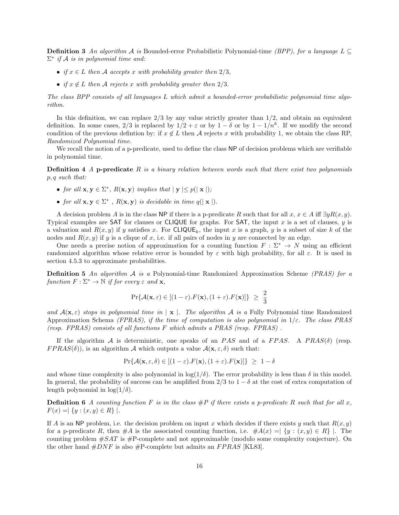**Definition 3** An algorithm A is Bounded-error Probabilistic Polynomial-time (BPP), for a language  $L \subseteq$  $\Sigma^*$  if A is in polynomial time and:

- if  $x \in L$  then A accepts x with probability greater then  $2/3$ ,
- if  $x \notin L$  then A rejects x with probability greater then 2/3.

The class BPP consists of all languages L which admit a bounded-error probabilistic polynomial time algorithm.

In this definition, we can replace  $2/3$  by any value strictly greater than  $1/2$ , and obtain an equivalent definition. In some cases,  $2/3$  is replaced by  $1/2 + \varepsilon$  or by  $1 - \delta$  or by  $1 - 1/n^k$ . If we modify the second condition of the previous defintion by: if  $x \notin L$  then A rejects x with probability 1, we obtain the class RP, Randomized Polynomial time.

We recall the notion of a p-predicate, used to define the class NP of decision problems which are verifiable in polynomial time.

**Definition 4** A p-predicate R is a binary relation between words such that there exist two polynomials p, q such that:

- for all  $\mathbf{x}, \mathbf{y} \in \Sigma^*$ ,  $R(\mathbf{x}, \mathbf{y})$  implies that  $|\mathbf{y}| \leq p(|\mathbf{x}|)$ ;
- for all  $\mathbf{x}, \mathbf{y} \in \Sigma^*$ ,  $R(\mathbf{x}, \mathbf{y})$  is decidable in time  $q(|\mathbf{x}|)$ .

A decision problem A is in the class NP if there is a p-predicate R such that for all  $x, x \in A$  iff  $\exists y R(x, y)$ . Typical examples are SAT for clauses or CLIQUE for graphs. For SAT, the input  $x$  is a set of clauses,  $y$  is a valuation and  $R(x, y)$  if y satisfies x. For CLIQUE<sub>k</sub>, the input x is a graph, y is a subset of size k of the nodes and  $R(x, y)$  if y is a clique of x, i.e. if all pairs of nodes in y are connected by an edge.

One needs a precise notion of approximation for a counting function  $F : \Sigma^* \to N$  using an efficient randomized algorithm whose relative error is bounded by  $\varepsilon$  with high probability, for all  $\varepsilon$ . It is used in section 4.5.3 to approximate probabilities.

**Definition 5** An algorithm  $A$  is a Polynomial-time Randomized Approximation Scheme (PRAS) for a function  $F : \Sigma^* \to \mathbb{N}$  if for every  $\varepsilon$  and  $\mathbf{x}$ ,

$$
\Pr\{\mathcal{A}(\mathbf{x}, \varepsilon) \in [(1-\varepsilon).F(\mathbf{x}), (1+\varepsilon).F(\mathbf{x})]\} \geq \frac{2}{3}
$$

and  $A(\mathbf{x}, \varepsilon)$  stops in polynomial time in  $|\mathbf{x}|$ . The algorithm A is a Fully Polynomial time Randomized Approximation Schema (FPRAS), if the time of computation is also polynomial in  $1/\varepsilon$ . The class PRAS (resp. FPRAS) consists of all functions F which admits a PRAS (resp. FPRAS) .

If the algorithm A is deterministic, one speaks of an PAS and of a FPAS. A PRAS( $\delta$ ) (resp.  $FPRAS(\delta)$ , is an algorithm A which outputs a value  $\mathcal{A}(\mathbf{x}, \varepsilon, \delta)$  such that:

$$
\Pr\{\mathcal{A}(\mathbf{x}, \varepsilon, \delta) \in [(1 - \varepsilon) \cdot F(\mathbf{x}), (1 + \varepsilon) \cdot F(\mathbf{x})]\} \ge 1 - \delta
$$

and whose time complexity is also polynomial in  $\log(1/\delta)$ . The error probability is less than  $\delta$  in this model. In general, the probability of success can be amplified from  $2/3$  to  $1 - \delta$  at the cost of extra computation of length polynomial in  $\log(1/\delta)$ .

**Definition 6** A counting function F is in the class  $\#P$  if there exists a p-predicate R such that for all x,  $F(x) = | \{ y : (x, y) \in R \} |$ .

If A is an NP problem, i.e. the decision problem on input x which decides if there exists y such that  $R(x, y)$ for a p-predicate R, then  $\#A$  is the associated counting function, i.e.  $\#A(x) = | \{y : (x, y) \in R\} |$ . The counting problem  $\#SAT$  is  $\#P$ -complete and not approximable (modulo some complexity conjecture). On the other hand  $#DNF$  is also  $#P$ -complete but admits an  $FPRAS$  [KL83].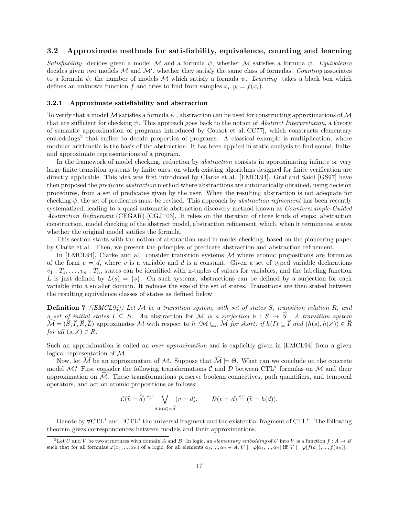### 3.2 Approximate methods for satisfiability, equivalence, counting and learning

Satisfiability decides given a model M and a formula  $\psi$ , whether M satisfies a formula  $\psi$ . Equivalence decides given two models  $M$  and  $M'$ , whether they satisfy the same class of formulas. Counting associates to a formula  $\psi$ , the number of models M which satisfy a formula  $\psi$ . Learning takes a black box which defines an unknown function f and tries to find from samples  $x_i, y_i = f(x_i)$ .

### 3.2.1 Approximate satisfiability and abstraction

To verify that a model M satisfies a formula  $\psi$ , abstraction can be used for constructing approximations of M that are sufficient for checking  $\psi$ . This approach goes back to the notion of *Abstract Interpretation*, a theory of semantic approximation of programs introduced by Cousot et al.[CC77], which constructs elementary embeddings<sup>2</sup> that suffice to decide properties of programs. A classical example is multiplication, where modular arithmetic is the basis of the abstraction. It has been applied in static analysis to find sound, finite, and approximate representations of a program.

In the framework of model checking, reduction by abstraction consists in approximating infinite or very large finite transition systems by finite ones, on which existing algorithms designed for finite verification are directly applicable. This idea was first introduced by Clarke et al. [EMCL94]. Graf and Saidi [GS97] have then proposed the predicate abstraction method where abstractions are automatically obtained, using decision procedures, from a set of predicates given by the user. When the resulting abstraction is not adequate for checking  $\psi$ , the set of predicates must be revised. This approach by *abstraction refinement* has been recently systematized, leading to a quasi automatic abstraction discovery method known as *Counterexample-Guided* Abstraction Refinement (CEGAR)  $[CGJ+03]$ . It relies on the iteration of three kinds of steps: abstraction construction, model checking of the abstract model, abstraction refinement, which, when it terminates, states whether the original model satifies the formula.

This section starts with the notion of abstraction used in model checking, based on the pioneering paper by Clarke et al.. Then, we present the principles of predicate abstraction and abstraction refinement.

In  $[EMCL94]$ , Clarke and al. consider transition systems  $M$  where atomic propositions are formulas of the form  $v = d$ , where v is a variable and d is a constant. Given a set of typed variable declarations  $v_1: T_1, \ldots, v_n: T_n$ , states can be identified with n-tuples of values for variables, and the labeling function L is just defined by  $L(s) = \{s\}$ . On such systems, abstractions can be defined by a surjection for each variable into a smaller domain. It reduces the size of the set of states. Transitions are then stated between the resulting equivalence classes of states as defined below.

**Definition 7** ([EMCL94]) Let M be a transition system, with set of states S, transition relation R, and a set of initial states  $I \subseteq S$ . An abstraction for M is a surjection  $h : S \to \widehat{S}$ . A transition system  $\widehat{\mathcal{M}} = (\widehat{S}, \widehat{I}, \widehat{R}, \widehat{L})$  approximates M with respect to  $h$  ( $\mathcal{M} \sqsubseteq_h \widehat{\mathcal{M}}$  for short) if  $h(I) \subseteq \widehat{I}$  and  $(h(s), h(s')) \in \widehat{R}$ for all  $(s, s') \in R$ .

Such an approximation is called an *over approximation* and is explicitly given in [EMCL94] from a given logical representation of M.

Now, let  $\widehat{\mathcal{M}}$  be an approximation of M. Suppose that  $\widehat{\mathcal{M}} \models \Theta$ . What can we conclude on the concrete model M? First consider the following transformations  $\mathcal C$  and  $\mathcal D$  between CTL<sup>\*</sup> formulas on M and their approximation on  $\mathcal M$ . These transformations preserve boolean connectives, path quantifiers, and temporal operators, and act on atomic propositions as follows:

$$
\mathcal{C}(\widehat{v} = \widehat{d}) \stackrel{\text{def}}{=} \bigvee_{d:h(d) = \widehat{d}} (v = d), \qquad \mathcal{D}(v = d) \stackrel{\text{def}}{=} (\widehat{v} = h(d)).
$$

Denote by  $\forall$ CTL<sup>\*</sup> and  $\exists$ CTL<sup>\*</sup> the universal fragment and the existential fragment of CTL<sup>\*</sup>. The following theorem gives correspondences between models and their approximations.

<sup>&</sup>lt;sup>2</sup>Let U and V be two structures with domain A and B. In logic, an elementary embedding of U into V is a function  $f : A \rightarrow B$ such that for all formulas  $\varphi(x_1, ..., x_n)$  of a logic, for all elements  $a_1, ..., a_n \in A$ ,  $U \models \varphi[a_1, ..., a_n]$  iff  $V \models \varphi[f(a_1), ..., f(a_n)]$ .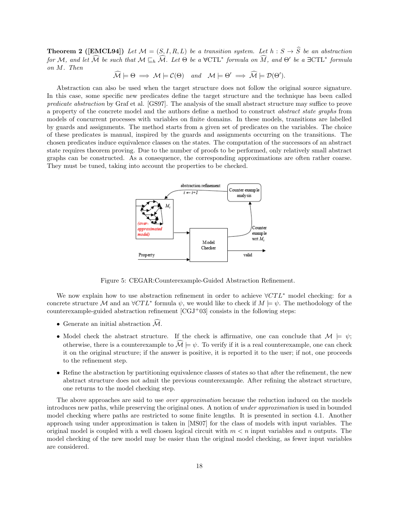**Theorem 2** ([EMCL94]) Let  $\mathcal{M} = (S, I, R, L)$  be a transition system. Let  $h : S \to \widehat{S}$  be an abstraction for M, and let  $\widehat{\mathcal{M}}$  be such that  $\mathcal{M} \sqsubseteq_h \widehat{\mathcal{M}}$ . Let  $\Theta$  be a  $\forall \text{CTL}^*$  formula on  $\widehat{M}$ , and  $\Theta'$  be a  $\exists \text{CTL}^*$  formula on M. Then

 $\widehat{\mathcal{M}} \models \Theta \implies \mathcal{M} \models \mathcal{C}(\Theta) \quad \text{and} \quad \mathcal{M} \models \Theta' \implies \widehat{\mathcal{M}} \models \mathcal{D}(\Theta').$ 

Abstraction can also be used when the target structure does not follow the original source signature. In this case, some specific new predicates define the target structure and the technique has been called predicate abstraction by Graf et al. [GS97]. The analysis of the small abstract structure may suffice to prove a property of the concrete model and the authors define a method to construct abstract state graphs from models of concurrent processes with variables on finite domains. In these models, transitions are labelled by guards and assignments. The method starts from a given set of predicates on the variables. The choice of these predicates is manual, inspired by the guards and assignments occurring on the transitions. The chosen predicates induce equivalence classes on the states. The computation of the successors of an abstract state requires theorem proving. Due to the number of proofs to be performed, only relatively small abstract graphs can be constructed. As a consequence, the corresponding approximations are often rather coarse. They must be tuned, taking into account the properties to be checked.



Figure 5: CEGAR:Counterexample-Guided Abstraction Refinement.

We now explain how to use abstraction refinement in order to achieve  $\forall CTL^*$  model checking: for a concrete structure M and an  $\forall CTL^*$  formula  $\psi$ , we would like to check if  $M \models \psi$ . The methodology of the counterexample-guided abstraction refinement  $[CGJ+03]$  consists in the following steps:

- Generate an initial abstraction  $\widehat{\mathcal{M}}$ .
- Model check the abstract structure. If the check is affirmative, one can conclude that  $\mathcal{M} \models \psi$ ; otherwise, there is a counterexample to  $\mathcal{M} \models \psi$ . To verify if it is a real counterexample, one can check it on the original structure; if the answer is positive, it is reported it to the user; if not, one proceeds to the refinement step.
- Refine the abstraction by partitioning equivalence classes of states so that after the refinement, the new abstract structure does not admit the previous counterexample. After refining the abstract structure, one returns to the model checking step.

The above approaches are said to use *over approximation* because the reduction induced on the models introduces new paths, while preserving the original ones. A notion of under approximation is used in bounded model checking where paths are restricted to some finite lengths. It is presented in section 4.1. Another approach using under approximation is taken in [MS07] for the class of models with input variables. The original model is coupled with a well chosen logical circuit with  $m < n$  input variables and n outputs. The model checking of the new model may be easier than the original model checking, as fewer input variables are considered.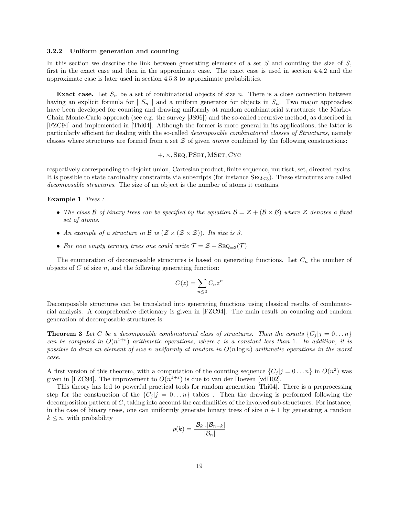#### 3.2.2 Uniform generation and counting

In this section we describe the link between generating elements of a set  $S$  and counting the size of  $S$ , first in the exact case and then in the approximate case. The exact case is used in section 4.4.2 and the approximate case is later used in section 4.5.3 to approximate probabilities.

**Exact case.** Let  $S_n$  be a set of combinatorial objects of size n. There is a close connection between having an explicit formula for  $|S_n|$  and a uniform generator for objects in  $S_n$ . Two major approaches have been developed for counting and drawing uniformly at random combinatorial structures: the Markov Chain Monte-Carlo approach (see e.g. the survey [JS96]) and the so-called recursive method, as described in [FZC94] and implemented in [Thi04]. Although the former is more general in its applications, the latter is particularly efficient for dealing with the so-called decomposable combinatorial classes of Structures, namely classes where structures are formed from a set  $\mathcal Z$  of given *atoms* combined by the following constructions:

+, ×, Seq, PSet, MSet, Cyc

respectively corresponding to disjoint union, Cartesian product, finite sequence, multiset, set, directed cycles. It is possible to state cardinality constraints via subscripts (for instance  $\text{SEQ}_{\leq 3}$ ). These structures are called decomposable structures. The size of an object is the number of atoms it contains.

### Example 1 Trees :

- The class B of binary trees can be specified by the equation  $\mathcal{B} = \mathcal{Z} + (\mathcal{B} \times \mathcal{B})$  where  $\mathcal Z$  denotes a fixed set of atoms.
- An example of a structure in  $\mathcal{B}$  is  $(\mathcal{Z} \times (\mathcal{Z} \times \mathcal{Z}))$ . Its size is 3.
- For non empty ternary trees one could write  $\mathcal{T} = \mathcal{Z} + \text{SEQ}_{=3}(\mathcal{T})$

The enumeration of decomposable structures is based on generating functions. Let  $C_n$  the number of objects of  $C$  of size  $n$ , and the following generating function:

$$
C(z) = \sum_{n \le 0} C_n z^n
$$

Decomposable structures can be translated into generating functions using classical results of combinatorial analysis. A comprehensive dictionary is given in [FZC94]. The main result on counting and random generation of decomposable structures is:

**Theorem 3** Let C be a decomposable combinatorial class of structures. Then the counts  $\{C_i | j = 0 \dots n\}$ can be computed in  $O(n^{1+\epsilon})$  arithmetic operations, where  $\varepsilon$  is a constant less than 1. In addition, it is possible to draw an element of size n uniformly at random in  $O(n \log n)$  arithmetic operations in the worst case.

A first version of this theorem, with a computation of the counting sequence  $\{C_j | j = 0 \dots n\}$  in  $O(n^2)$  was given in [FZC94]. The improvement to  $O(n^{1+\epsilon})$  is due to van der Hoeven [vdH02].

This theory has led to powerful practical tools for random generation [Thi04]. There is a preprocessing step for the construction of the  $\{C_j | j = 0 \dots n\}$  tables. Then the drawing is performed following the decomposition pattern of C, taking into account the cardinalities of the involved sub-structures. For instance, in the case of binary trees, one can uniformly generate binary trees of size  $n + 1$  by generating a random  $k \leq n$ , with probability

$$
p(k) = \frac{|\mathcal{B}_k| |\mathcal{B}_{n-k}|}{|\mathcal{B}_n|}
$$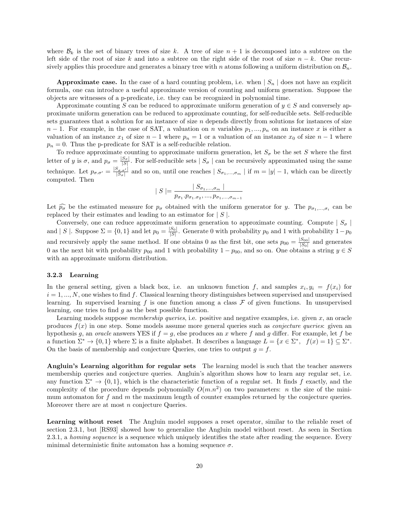where  $\mathcal{B}_k$  is the set of binary trees of size k. A tree of size  $n+1$  is decomposed into a subtree on the left side of the root of size k and into a subtree on the right side of the root of size  $n - k$ . One recursively applies this procedure and generates a binary tree with n atoms following a uniform distribution on  $\mathcal{B}_n$ .

**Approximate case.** In the case of a hard counting problem, i.e. when  $|S_n|$  does not have an explicit formula, one can introduce a useful approximate version of counting and uniform generation. Suppose the objects are witnesses of a p-predicate, i.e. they can be recognized in polynomial time.

Approximate counting S can be reduced to approximate uniform generation of  $y \in S$  and conversely approximate uniform generation can be reduced to approximate counting, for self-reducible sets. Self-reducible sets guarantees that a solution for an instance of size n depends directly from solutions for instances of size  $n-1$ . For example, in the case of SAT, a valuation on n variables  $p_1, ..., p_n$  on an instance x is either a valuation of an instance  $x_1$  of size  $n-1$  where  $p_n = 1$  or a valuation of an instance  $x_0$  of size  $n-1$  where  $p_n = 0$ . Thus the p-predicate for SAT is a self-reducible relation.

To reduce approximate counting to approximate uniform generation, let  $S_{\sigma}$  be the set S where the first letter of y is  $\sigma$ , and  $p_{\sigma} = \frac{|S_{\sigma}|}{|S|}$ . For self-reducible sets  $|S_{\sigma}|$  can be recursively approximated using the same technique. Let  $p_{\sigma,\sigma'} = \frac{|S_{\sigma,\sigma'}|}{|S_{\sigma}|}$  and so on, until one reaches  $|S_{\sigma_1,...,\sigma_m}|$  if  $m = |y|-1$ , which can be directly computed. Then

$$
|S| = \frac{|S_{\sigma_1,...,\sigma_m}|}{p_{\sigma_1} \cdot p_{\sigma_1 \cdot \sigma_2},...,p_{\sigma_1,...,\sigma_{m-1}}}
$$

Let  $\widehat{p_{\sigma}}$  be the estimated measure for  $p_{\sigma}$  obtained with the uniform generator for y. The  $p_{\sigma_1,...,\sigma_i}$  can be replaced by their estimates and loading to an estimator for  $|S|$ replaced by their estimates and leading to an estimator for  $|S|$ .

Conversely, one can reduce approximate uniform generation to approximate counting. Compute  $|S_{\sigma}|$ and | S |. Suppose  $\Sigma = \{0,1\}$  and let  $p_0 = \frac{|S_0|}{|S|}$ . Generate 0 with probability  $p_0$  and 1 with probability  $1-p_0$ and recursively apply the same method. If one obtains 0 as the first bit, one sets  $p_{00} = \frac{|S_{00}|}{|S_0|}$  $\frac{S_{00}|}{|S_0|}$  and generates 0 as the next bit with probability  $p_{00}$  and 1 with probability 1 –  $p_{00}$ , and so on. One obtains a string  $y \in S$ with an approximate uniform distribution.

### 3.2.3 Learning

In the general setting, given a black box, i.e. an unknown function f, and samples  $x_i, y_i = f(x_i)$  for  $i = 1, ..., N$ , one wishes to find f. Classical learning theory distinguishes between supervised and unsupervised learning. In supervised learning f is one function among a class  $\mathcal F$  of given functions. In unsupervised learning, one tries to find  $q$  as the best possible function.

Learning models suppose *membership queries*, i.e. positive and negative examples, i.e. given  $x$ , an oracle produces  $f(x)$  in one step. Some models assume more general queries such as *conjecture queries*: given an hypothesis g, an oracle answers YES if  $f = g$ , else produces an x where f and g differ. For example, let f be a function  $\Sigma^* \to \{0,1\}$  where  $\Sigma$  is a finite alphabet. It describes a language  $L = \{x \in \Sigma^*, f(x) = 1\} \subseteq \Sigma^*$ . On the basis of membership and conjecture Queries, one tries to output  $q = f$ .

Angluin's Learning algorithm for regular sets The learning model is such that the teacher answers membership queries and conjecture queries. Angluin's algorithm shows how to learn any regular set, i.e. any function  $\Sigma^* \to \{0,1\}$ , which is the characteristic function of a regular set. It finds f exactly, and the complexity of the procedure depends polynomially  $O(m.n^2)$  on two parameters: *n* the size of the minimum automaton for  $f$  and  $m$  the maximum length of counter examples returned by the conjecture queries. Moreover there are at most *n* conjecture Queries.

Learning without reset The Angluin model supposes a reset operator, similar to the reliable reset of section 2.3.1, but [RS93] showed how to generalize the Angluin model without reset. As seen in Section 2.3.1, a homing sequence is a sequence which uniquely identifies the state after reading the sequence. Every minimal deterministic finite automaton has a homing sequence  $\sigma$ .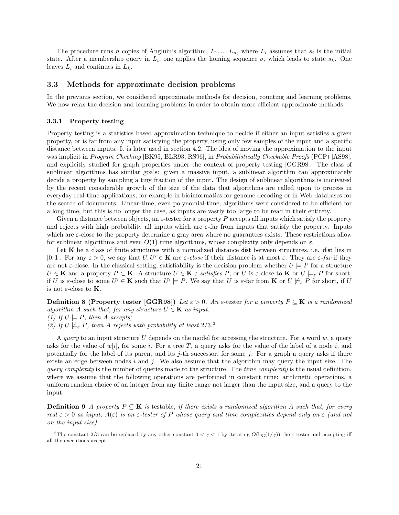The procedure runs n copies of Angluin's algorithm,  $L_1, ..., L_n$ , where  $L_i$  assumes that  $s_i$  is the initial state. After a membership query in  $L_i$ , one applies the homing sequence  $\sigma$ , which leads to state  $s_k$ . One leaves  $L_i$  and continues in  $L_k$ .

### 3.3 Methods for approximate decision problems

In the previous section, we considered approximate methods for decision, counting and learning problems. We now relax the decision and learning problems in order to obtain more efficient approximate methods.

### 3.3.1 Property testing

Property testing is a statistics based approximation technique to decide if either an input satisfies a given property, or is far from any input satisfying the property, using only few samples of the input and a specific distance between inputs. It is later used in section 4.2. The idea of moving the approximation to the input was implicit in Program Checking [BK95, BLR93, RS96], in Probabilistically Checkable Proofs (PCP) [AS98], and explicitly studied for graph properties under the context of property testing [GGR98]. The class of sublinear algorithms has similar goals: given a massive input, a sublinear algorithm can approximately decide a property by sampling a tiny fraction of the input. The design of sublinear algorithms is motivated by the recent considerable growth of the size of the data that algorithms are called upon to process in everyday real-time applications, for example in bioinformatics for genome decoding or in Web databases for the search of documents. Linear-time, even polynomial-time, algorithms were considered to be efficient for a long time, but this is no longer the case, as inputs are vastly too large to be read in their entirety.

Given a distance between objects, an  $\varepsilon$ -tester for a property P accepts all inputs which satisfy the property and rejects with high probability all inputs which are  $\varepsilon$ -far from inputs that satisfy the property. Inputs which are  $\varepsilon$ -close to the property determine a gray area where no guarantees exists. These restrictions allow for sublinear algorithms and even  $O(1)$  time algorithms, whose complexity only depends on  $\varepsilon$ .

Let  $K$  be a class of finite structures with a normalized distance dist between structures, i.e. dist lies in [0, 1]. For any  $\varepsilon > 0$ , we say that  $U, U' \in \mathbf{K}$  are  $\varepsilon$ -close if their distance is at most  $\varepsilon$ . They are  $\varepsilon$ -far if they are not  $\varepsilon$ -close. In the classical setting, satisfiability is the decision problem whether  $U \models P$  for a structure  $U \in \mathbf{K}$  and a property  $P \subset \mathbf{K}$ . A structure  $U \in \mathbf{K}$  *ε-satisfies* P, or U is *ε*-close to **K** or  $U \models_{\varepsilon} P$  for short, if U is  $\varepsilon$ -close to some  $U' \in \mathbf{K}$  such that  $U' \models P$ . We say that U is  $\varepsilon$ -far from **K** or  $U \not\models_{\varepsilon} P$  for short, if U is not  $\varepsilon\text{-close}$  to  $\mathbf K.$ 

**Definition 8 (Property tester [GGR98])** Let  $\varepsilon > 0$ . An  $\varepsilon$ -tester for a property  $P \subseteq K$  is a randomized algorithm A such that, for any structure  $U \in \mathbf{K}$  as input: (1) If  $U \models P$ , then A accepts; (2) If  $U \not\models_{\varepsilon} P$ , then A rejects with probability at least  $2/3$ .

A query to an input structure  $U$  depends on the model for accessing the structure. For a word  $w$ , a query asks for the value of  $w[i]$ , for some i. For a tree T, a query asks for the value of the label of a node i, and potentially for the label of its parent and its  $j$ -th successor, for some  $j$ . For a graph a query asks if there exists an edge between nodes i and j. We also assume that the algorithm may query the input size. The query complexity is the number of queries made to the structure. The time complexity is the usual definition, where we assume that the following operations are performed in constant time: arithmetic operations, a uniform random choice of an integer from any finite range not larger than the input size, and a query to the input.

**Definition 9** A property  $P \subseteq K$  is testable, if there exists a randomized algorithm A such that, for every real  $\varepsilon > 0$  as input,  $A(\varepsilon)$  is an  $\varepsilon$ -tester of P whose query and time complexities depend only on  $\varepsilon$  (and not on the input size).

<sup>&</sup>lt;sup>3</sup>The constant 2/3 can be replaced by any other constant  $0 < \gamma < 1$  by iterating  $O(\log(1/\gamma))$  the  $\varepsilon$ -tester and accepting iff all the executions accept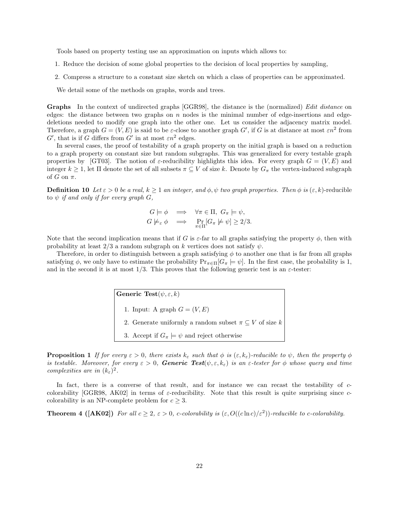Tools based on property testing use an approximation on inputs which allows to:

- 1. Reduce the decision of some global properties to the decision of local properties by sampling,
- 2. Compress a structure to a constant size sketch on which a class of properties can be approximated.

We detail some of the methods on graphs, words and trees.

Graphs In the context of undirected graphs [GGR98], the distance is the (normalized) Edit distance on edges: the distance between two graphs on  $n$  nodes is the minimal number of edge-insertions and edgedeletions needed to modify one graph into the other one. Let us consider the adjacency matrix model. Therefore, a graph  $G = (V, E)$  is said to be  $\varepsilon$ -close to another graph  $G'$ , if G is at distance at most  $\varepsilon n^2$  from  $G'$ , that is if G differs from  $G'$  in at most  $\varepsilon n^2$  edges.

In several cases, the proof of testability of a graph property on the initial graph is based on a reduction to a graph property on constant size but random subgraphs. This was generalized for every testable graph properties by [GT03]. The notion of  $\varepsilon$ -reducibility highlights this idea. For every graph  $G = (V, E)$  and integer  $k \geq 1$ , let  $\Pi$  denote the set of all subsets  $\pi \subseteq V$  of size k. Denote by  $G_{\pi}$  the vertex-induced subgraph of G on  $\pi$ .

**Definition 10** Let  $\varepsilon > 0$  be a real,  $k \ge 1$  an integer, and  $\phi, \psi$  two graph properties. Then  $\phi$  is  $(\varepsilon, k)$ -reducible to  $\psi$  if and only if for every graph  $G$ ,

$$
G \models \phi \implies \forall \pi \in \Pi, \ G_{\pi} \models \psi,
$$
  

$$
G \not\models_{\varepsilon} \phi \implies \Pr_{\pi \in \Pi} [G_{\pi} \not\models \psi] \ge 2/3.
$$

Note that the second implication means that if G is  $\varepsilon$ -far to all graphs satisfying the property  $\phi$ , then with probability at least  $2/3$  a random subgraph on k vertices does not satisfy  $\psi$ .

Therefore, in order to distinguish between a graph satisfying  $\phi$  to another one that is far from all graphs satisfying  $\phi$ , we only have to estimate the probability  $Pr_{\pi \in \Pi}[G_{\pi} \models \psi]$ . In the first case, the probability is 1, and in the second it is at most  $1/3$ . This proves that the following generic test is an  $\varepsilon$ -tester:

> Generic Test $(\psi, \varepsilon, k)$ 1. Input: A graph  $G = (V, E)$ 2. Generate uniformly a random subset  $\pi \subseteq V$  of size k 3. Accept if  $G_{\pi} \models \psi$  and reject otherwise

**Proposition 1** If for every  $\varepsilon > 0$ , there exists  $k_{\varepsilon}$  such that  $\phi$  is  $(\varepsilon, k_{\varepsilon})$ -reducible to  $\psi$ , then the property  $\phi$ is testable. Moreover, for every  $\varepsilon > 0$ , Generic Test $(\psi, \varepsilon, k_{\varepsilon})$  is an  $\varepsilon$ -tester for  $\phi$  whose query and time complexities are in  $(k_{\varepsilon})^2$ .

In fact, there is a converse of that result, and for instance we can recast the testability of ccolorability [GGR98, AK02] in terms of  $\varepsilon$ -reducibility. Note that this result is quite surprising since  $c$ colorability is an NP-complete problem for  $c \geq 3$ .

**Theorem 4 ([AK02])** For all  $c \ge 2$ ,  $\varepsilon > 0$ , c-colorability is  $(\varepsilon, O((c \ln c)/\varepsilon^2))$ -reducible to c-colorability.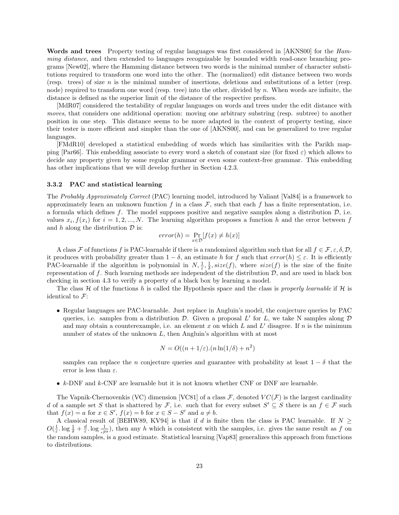Words and trees Property testing of regular languages was first considered in [AKNS00] for the Hamming distance, and then extended to languages recognizable by bounded width read-once branching programs [New02], where the Hamming distance between two words is the minimal number of character substitutions required to transform one word into the other. The (normalized) edit distance between two words (resp. trees) of size n is the minimal number of insertions, deletions and substitutions of a letter (resp. node) required to transform one word (resp. tree) into the other, divided by n. When words are infinite, the distance is defined as the superior limit of the distance of the respective prefixes.

[MdR07] considered the testability of regular languages on words and trees under the edit distance with moves, that considers one additional operation: moving one arbitrary substring (resp. subtree) to another position in one step. This distance seems to be more adapted in the context of property testing, since their tester is more efficient and simpler than the one of [AKNS00], and can be generalized to tree regular languages.

[FMdR10] developed a statistical embedding of words which has similarities with the Parikh mapping [Par66]. This embedding associate to every word a sketch of constant size (for fixed  $\varepsilon$ ) which allows to decide any property given by some regular grammar or even some context-free grammar. This embedding has other implications that we will develop further in Section 4.2.3.

#### 3.3.2 PAC and statistical learning

The Probably Approximately Correct (PAC) learning model, introduced by Valiant [Val84] is a framework to approximately learn an unknown function f in a class  $\mathcal{F}$ , such that each f has a finite representation, i.e. a formula which defines f. The model supposes positive and negative samples along a distribution  $\mathcal{D}$ , i.e. values  $x_i, f(x_i)$  for  $i = 1, 2, ..., N$ . The learning algorithm proposes a function h and the error between f and  $h$  along the distribution  $\mathcal D$  is:

$$
error(h) = \Pr_{x \in \mathcal{D}}[f(x) \neq h(x)]
$$

A class F of functions f is PAC-learnable if there is a randomized algorithm such that for all  $f \in \mathcal{F}, \varepsilon, \delta, \mathcal{D},$ it produces with probability greater than  $1 - \delta$ , an estimate h for f such that  $error(h) \leq \varepsilon$ . It is efficiently PAC-learnable if the algorithm is polynomial in  $N, \frac{1}{\varepsilon}, \frac{1}{\delta}, size(f)$ , where  $size(f)$  is the size of the finite representation of f. Such learning methods are independent of the distribution  $D$ , and are used in black box checking in section 4.3 to verify a property of a black box by learning a model.

The class H of the functions h is called the Hypothesis space and the class is properly learnable if H is identical to  $\mathcal{F}$ :

• Regular languages are PAC-learnable. Just replace in Angluin's model, the conjecture queries by PAC queries, i.e. samples from a distribution  $D$ . Given a proposal  $L'$  for  $L$ , we take N samples along  $D$ and may obtain a counterexample, i.e. an element x on which L and L' disagree. If n is the minimum number of states of the unknown L, then Angluin's algorithm with at most

$$
N = O((n + 1/\varepsilon) \cdot (n \ln(1/\delta) + n^2)
$$

samples can replace the n conjecture queries and guarantee with probability at least  $1 - \delta$  that the error is less than  $\varepsilon$ .

•  $k$ -DNF and  $k$ -CNF are learnable but it is not known whether CNF or DNF are learnable.

The Vapnik-Chernovenkis (VC) dimension [VC81] of a class  $\mathcal{F}$ , denoted  $VC(\mathcal{F})$  is the largest cardinality d of a sample set S that is shattered by F, i.e. such that for every subset  $S' \subseteq S$  there is an  $f \in \mathcal{F}$  such that  $f(x) = a$  for  $x \in S'$ ,  $f(x) = b$  for  $x \in S - S'$  and  $a \neq b$ .

A classical result of [BEHW89, KV94] is that if d is finite then the class is PAC learnable. If  $N \ge$  $O(\frac{1}{\varepsilon} \cdot \log \frac{1}{\varepsilon} + \frac{d}{\varepsilon} \cdot \log \frac{1}{\varepsilon^{ps}})$ , then any h which is consistent with the samples, i.e. gives the same result as f on the random samples, is a good estimate. Statistical learning [Vap83] generalizes this approach from functions to distributions.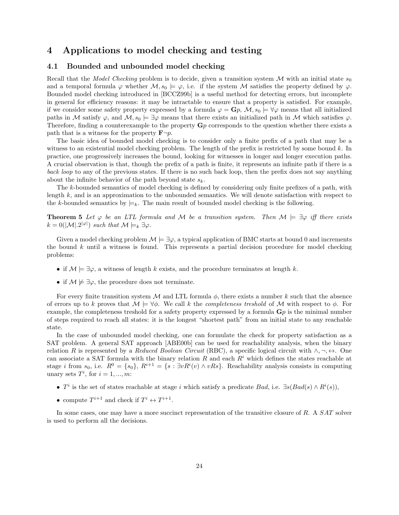# 4 Applications to model checking and testing

### 4.1 Bounded and unbounded model checking

Recall that the Model Checking problem is to decide, given a transition system M with an initial state  $s_0$ and a temporal formula  $\varphi$  whether  $\mathcal{M}, s_0 \models \varphi$ , i.e. if the system M satisfies the property defined by  $\varphi$ . Bounded model checking introduced in [BCCZ99b] is a useful method for detecting errors, but incomplete in general for efficiency reasons: it may be intractable to ensure that a property is satisfied. For example, if we consider some safety property expressed by a formula  $\varphi = \mathbf{G}p$ ,  $\mathcal{M}, s_0 \models \forall \varphi$  means that all initialized paths in M satisfy  $\varphi$ , and  $M$ ,  $s_0 \models \exists \varphi$  means that there exists an initialized path in M which satisfies  $\varphi$ . Therefore, finding a counterexample to the property  $\mathbf{G}p$  corresponds to the question whether there exists a path that is a witness for the property  $\mathbf{F}\neg p$ .

The basic idea of bounded model checking is to consider only a finite prefix of a path that may be a witness to an existential model checking problem. The length of the prefix is restricted by some bound k. In practice, one progressively increases the bound, looking for witnesses in longer and longer execution paths. A crucial observation is that, though the prefix of a path is finite, it represents an infinite path if there is a back loop to any of the previous states. If there is no such back loop, then the prefix does not say anything about the infinite behavior of the path beyond state  $s_k$ .

The k-bounded semantics of model checking is defined by considering only finite prefixes of a path, with length  $k$ , and is an approximation to the unbounded semantics. We will denote satisfaction with respect to the k-bounded semantics by  $\models_k$ . The main result of bounded model checking is the following.

**Theorem 5** Let  $\varphi$  be an LTL formula and M be a transition system. Then  $M \models \exists \varphi$  iff there exists  $k = 0(|\mathcal{M}|.2^{|\varphi|})$  such that  $\mathcal{M} \models_k \exists \varphi$ .

Given a model checking problem  $\mathcal{M} \models \exists \varphi$ , a typical application of BMC starts at bound 0 and increments the bound  $k$  until a witness is found. This represents a partial decision procedure for model checking problems:

- if  $\mathcal{M} \models \exists \varphi$ , a witness of length k exists, and the procedure terminates at length k.
- if  $\mathcal{M} \not\models \exists \varphi$ , the procedure does not terminate.

For every finite transition system M and LTL formula  $\phi$ , there exists a number k such that the absence of errors up to k proves that  $\mathcal{M} \models \forall \phi$ . We call k the *completeness treshold* of M with respect to  $\phi$ . For example, the completeness treshold for a safety property expressed by a formula  $\mathbf{G}p$  is the minimal number of steps required to reach all states: it is the longest "shortest path" from an initial state to any reachable state.

In the case of unbounded model checking, one can formulate the check for property satisfaction as a SAT problem. A general SAT approach [ABE00b] can be used for reachability analysis, when the binary relation R is represented by a Reduced Boolean Circuit (RBC), a specific logical circuit with  $\wedge, \neg, \leftrightarrow$ . One can associate a SAT formula with the binary relation R and each  $R<sup>i</sup>$  which defines the states reachable at stage i from  $s_0$ , i.e.  $R^0 = \{s_0\}$ ,  $R^{i+1} = \{s : \exists v R^i(v) \wedge vRs\}$ . Reachability analysis consists in computing unary sets  $T^i$ , for  $i = 1, ..., m$ :

- $T^i$  is the set of states reachable at stage i which satisfy a predicate Bad, i.e.  $\exists s(Bad(s) \land R^i(s)),$
- compute  $T^{i+1}$  and check if  $T^i \leftrightarrow T^{i+1}$ .

In some cases, one may have a more succinct representation of the transitive closure of R. A SAT solver is used to perform all the decisions.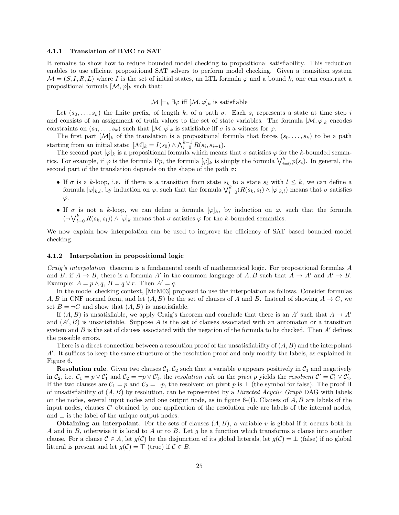#### 4.1.1 Translation of BMC to SAT

It remains to show how to reduce bounded model checking to propositional satisfiability. This reduction enables to use efficient propositional SAT solvers to perform model checking. Given a transition system  $\mathcal{M} = (S, I, R, L)$  where I is the set of initial states, an LTL formula  $\varphi$  and a bound k, one can construct a propositional formula  $[\mathcal{M}, \varphi]_k$  such that:

### $\mathcal{M} \models_k \exists \varphi$  iff  $[\mathcal{M}, \varphi]_k$  is satisfiable

Let  $(s_0, \ldots, s_k)$  the finite prefix, of length k, of a path  $\sigma$ . Each  $s_i$  represents a state at time step i and consists of an assignment of truth values to the set of state variables. The formula  $[\mathcal{M}, \varphi]_k$  encodes constraints on  $(s_0, \ldots, s_k)$  such that  $[\mathcal{M}, \varphi]_k$  is satisfiable iff  $\sigma$  is a witness for  $\varphi$ .

The first part  $[\mathcal{M}]_k$  of the translation is a propositional formula that forces  $(s_0, \ldots, s_k)$  to be a path starting from an initial state:  $[\mathcal{M}]_k = I(s_0) \wedge \bigwedge_{i=0}^{k-1} R(s_i, s_{i+1}).$ 

The second part  $[\varphi]_k$  is a propositional formula which means that  $\sigma$  satisfies  $\varphi$  for the k-bounded semantics. For example, if  $\varphi$  is the formula  $\mathbf{F}p$ , the formula  $[\varphi]_k$  is simply the formula  $\bigvee_{i=0}^k p(s_i)$ . In general, the second part of the translation depends on the shape of the path  $\sigma$ :

- If  $\sigma$  is a k-loop, i.e. if there is a transition from state  $s_k$  to a state  $s_l$  with  $l \leq k$ , we can define a formula  $[\varphi]_{k,l}$ , by induction on  $\varphi$ , such that the formula  $\bigvee_{l=0}^{k} (R(s_k, s_l) \wedge [\varphi]_{k,l})$  means that  $\sigma$  satisfies  $\varphi$ .
- If  $\sigma$  is not a k-loop, we can define a formula  $[\varphi]_k$ , by induction on  $\varphi$ , such that the formula  $(\neg \bigvee_{l=0}^{k} R(s_k, s_l)) \wedge [\varphi]_k$  means that  $\sigma$  satisfies  $\varphi$  for the k-bounded semantics.

We now explain how interpolation can be used to improve the efficiency of SAT based bounded model checking.

### 4.1.2 Interpolation in propositional logic

Craig's interpolation theorem is a fundamental result of mathematical logic. For propositional formulas A and B, if  $A \to B$ , there is a formula A' in the common language of A, B such that  $A \to A'$  and  $A' \to B$ . Example:  $A = p \wedge q$ ,  $B = q \vee r$ . Then  $A' = q$ .

In the model checking context, [McM03] proposed to use the interpolation as follows. Consider formulas A, B in CNF normal form, and let  $(A, B)$  be the set of clauses of A and B. Instead of showing  $A \to C$ , we set  $B = \neg C$  and show that  $(A, B)$  is unsatisfiable.

If  $(A, B)$  is unsatisfiable, we apply Craig's theorem and conclude that there is an A' such that  $A \to A'$ and  $(A', B)$  is unsatisfiable. Suppose A is the set of clauses associated with an automaton or a transition system and  $B$  is the set of clauses associated with the negation of the formula to be checked. Then  $A'$  defines the possible errors.

There is a direct connection between a resolution proof of the unsatisfiability of  $(A, B)$  and the interpolant A'. It suffices to keep the same structure of the resolution proof and only modify the labels, as explained in Figure 6.

**Resolution rule.** Given two clauses  $C_1$ ,  $C_2$  such that a variable p appears positively in  $C_1$  and negatively in  $C_2$ , i.e.  $C_1 = p \vee C_1'$  and  $C_2 = \neg p \vee C_2'$ , the resolution rule on the pivot p yields the resolvent  $C' = C_1' \vee C_2'$ . If the two clauses are  $C_1 = p$  and  $C_2 = \neg p$ , the resolvent on pivot p is  $\bot$  (the symbol for false). The proof  $\Pi$ of unsatisfiability of  $(A, B)$  by resolution, can be represented by a *Directed Acyclic Graph* DAG with labels on the nodes, several input nodes and one output node, as in figure 6-(I). Clauses of  $A, B$  are labels of the input nodes, clauses  $\mathcal{C}'$  obtained by one application of the resolution rule are labels of the internal nodes, and  $\perp$  is the label of the unique output nodes.

**Obtaining an interpolant.** For the sets of clauses  $(A, B)$ , a variable v is global if it occurs both in A and in B, otherwise it is local to A or to B. Let  $q$  be a function which transforms a clause into another clause. For a clause  $C \in A$ , let  $g(C)$  be the disjunction of its global litterals, let  $g(C) = \perp$  (false) if no global litteral is present and let  $g(\mathcal{C}) = \top$  (true) if  $\mathcal{C} \in B$ .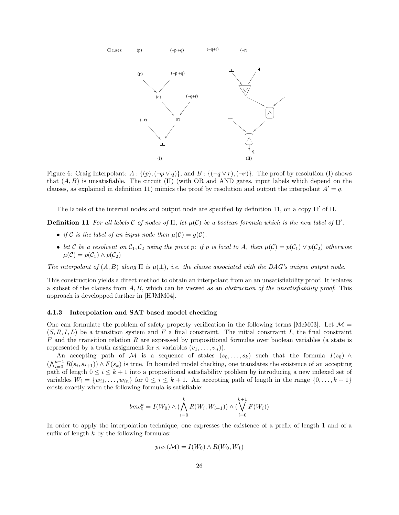

Figure 6: Craig Interpolant:  $A: \{(p), (\neg p \lor q)\}\)$ , and  $B: \{(\neg q \lor r), (\neg r)\}\$ . The proof by resolution (I) shows that  $(A, B)$  is unsatisfiable. The circuit (II) (with OR and AND gates, input labels which depend on the clauses, as explained in definition 11) mimics the proof by resolution and output the interpolant  $A' = q$ .

The labels of the internal nodes and output node are specified by definition 11, on a copy  $\Pi'$  of  $\Pi$ .

**Definition 11** For all labels C of nodes of  $\Pi$ , let  $\mu(\mathcal{C})$  be a boolean formula which is the new label of  $\Pi'$ .

- if C is the label of an input node then  $\mu(\mathcal{C}) = g(\mathcal{C})$ .
- let C be a resolvent on  $C_1, C_2$  using the pivot p: if p is local to A, then  $\mu(C) = p(C_1) \vee p(C_2)$  otherwise  $\mu(\mathcal{C}) = p(\mathcal{C}_1) \wedge p(\mathcal{C}_2)$

The interpolant of  $(A, B)$  along  $\Pi$  is  $\mu(\perp)$ , i.e. the clause associated with the DAG's unique output node.

This construction yields a direct method to obtain an interpolant from an an unsatisfiability proof. It isolates a subset of the clauses from  $A, B$ , which can be viewed as an *abstraction of the unsatisfiability proof.* This approach is developped further in [HJMM04].

### 4.1.3 Interpolation and SAT based model checking

One can formulate the problem of safety property verification in the following terms [McM03]. Let  $\mathcal{M} =$  $(S, R, I, L)$  be a transition system and F a final constraint. The initial constraint I, the final constraint  $F$  and the transition relation R are expressed by propositional formulas over boolean variables (a state is represented by a truth assignment for *n* variables  $(v_1, \ldots, v_n)$ .

An accepting path of M is a sequence of states  $(s_0, \ldots, s_k)$  such that the formula  $I(s_0) \wedge$  $(\bigwedge_{i=0}^{k-1} R(s_i, s_{i+1})) \wedge F(s_k)$  is true. In bounded model checking, one translates the existence of an accepting path of length  $0 \leq i \leq k+1$  into a propositional satisfiability problem by introducing a new indexed set of variables  $W_i = \{w_{i1}, \ldots, w_{in}\}\$ for  $0 \le i \le k+1$ . An accepting path of length in the range  $\{0, \ldots, k+1\}$ exists exactly when the following formula is satisfiable:

$$
bmc_0^k = I(W_0) \wedge (\bigwedge_{i=0}^k R(W_i, W_{i+1})) \wedge (\bigvee_{i=0}^{k+1} F(W_i))
$$

In order to apply the interpolation technique, one expresses the existence of a prefix of length 1 and of a suffix of length  $k$  by the following formulas:

$$
pre_1(\mathcal{M}) = I(W_0) \wedge R(W_0, W_1)
$$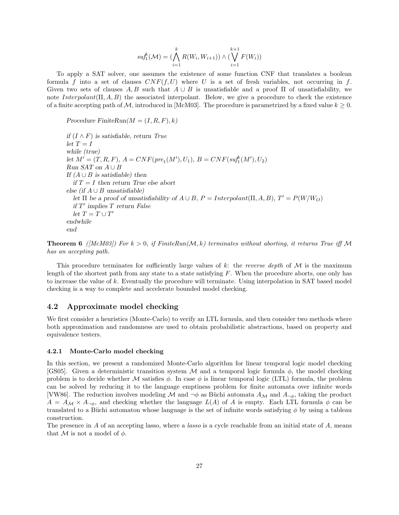$$
suf_1^k(\mathcal{M}) = \left(\bigwedge_{i=1}^k R(W_i, W_{i+1})\right) \wedge \left(\bigvee_{i=1}^{k+1} F(W_i)\right)
$$

To apply a SAT solver, one assumes the existence of some function CNF that translates a boolean formula f into a set of clauses  $CNF(f, U)$  where U is a set of fresh variables, not occurring in f. Given two sets of clauses  $A, B$  such that  $A \cup B$  is unsatisfiable and a proof  $\Pi$  of unsatisfiability, we note  $Interpolant(\Pi, A, B)$  the associated interpolant. Below, we give a procedure to check the existence of a finite accepting path of M, introduced in [McM03]. The procedure is parametrized by a fixed value  $k \geq 0$ .

Procedure FiniteRun( $M = (I, R, F), k$ )

if  $(I ∧ F)$  is satisfiable, return True  $let T = I$ while (true) let  $M' = (T, R, F), A = CNF(pr_1(M'), U_1), B = CNF(suf_1^k(M'), U_2)$ Run SAT on  $A \cup B$ If  $(A \cup B)$  is satisfiable) then if  $T = I$  then return True else abort else (if  $A \cup B$  unsatisfiable) let  $\Pi$  be a proof of unsatisfiability of  $A \cup B$ ,  $P = Interpolant(\Pi, A, B)$ ,  $T' = P(W/W_O)$ if  $T'$  implies  $T$  return False  $let T = T \cup T'$ endwhile end

**Theorem 6** ([McM03]) For  $k > 0$ , if FiniteRun(M, k) terminates without aborting, it returns True iff M has an accepting path.

This procedure terminates for sufficiently large values of k: the reverse depth of  $\mathcal M$  is the maximum length of the shortest path from any state to a state satisfying  $F$ . When the procedure aborts, one only has to increase the value of k. Eventually the procedure will terminate. Using interpolation in SAT based model checking is a way to complete and accelerate bounded model checking.

### 4.2 Approximate model checking

We first consider a heuristics (Monte-Carlo) to verify an LTL formula, and then consider two methods where both approximation and randomness are used to obtain probabilistic abstractions, based on property and equivalence testers.

### 4.2.1 Monte-Carlo model checking

In this section, we present a randomized Monte-Carlo algorithm for linear temporal logic model checking [GS05]. Given a deterministic transition system M and a temporal logic formula  $\phi$ , the model checking problem is to decide whether M satisfies  $\phi$ . In case  $\phi$  is linear temporal logic (LTL) formula, the problem can be solved by reducing it to the language emptiness problem for finite automata over infinite words [VW86]. The reduction involves modeling M and  $\neg \phi$  as Büchi automata  $A_{\mathcal{M}}$  and  $A_{\neg \phi}$ , taking the product  $A = A_{\mathcal{M}} \times A_{\neg \phi}$ , and checking whether the language  $L(A)$  of A is empty. Each LTL formula  $\phi$  can be translated to a Büchi automaton whose language is the set of infinite words satisfying  $\phi$  by using a tableau construction.

The presence in  $A$  of an accepting lasso, where a *lasso* is a cycle reachable from an initial state of  $A$ , means that M is not a model of  $\phi$ .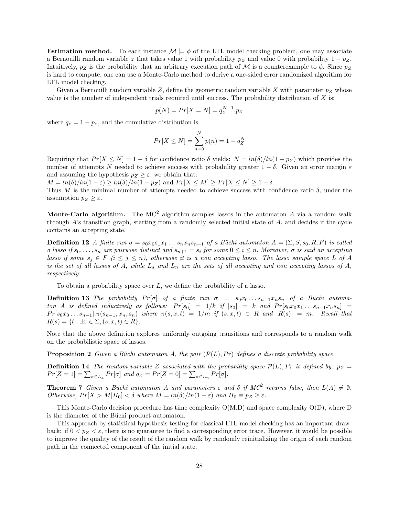**Estimation method.** To each instance  $\mathcal{M} \models \phi$  of the LTL model checking problem, one may associate a Bernouilli random variable z that takes value 1 with probability  $p_Z$  and value 0 with probability  $1 - p_Z$ . Intuitively,  $p_Z$  is the probability that an arbitrary execution path of M is a counterexample to  $\phi$ . Since  $p_Z$ is hard to compute, one can use a Monte-Carlo method to derive a one-sided error randomized algorithm for LTL model checking.

Given a Bernouilli random variable Z, define the geometric random variable X with parameter  $p_Z$  whose value is the number of independent trials required until success. The probability distribution of  $X$  is:

$$
p(N) = Pr[X = N] = q_Z^{N-1} \cdot p_Z
$$

where  $q_z = 1 - p_z$ , and the cumulative distribution is

$$
Pr[X \le N] = \sum_{n=0}^{N} p(n) = 1 - q_Z^N
$$

Requiring that  $Pr[X \le N] = 1 - \delta$  for confidence ratio  $\delta$  yields:  $N = ln(\delta)/ln(1 - p_Z)$  which provides the number of attempts N needed to achieve success with probability greater  $1 - \delta$ . Given an error margin  $\varepsilon$ and assuming the hypothesis  $p_Z \geq \varepsilon$ , we obtain that:

 $M = ln(\delta)/ln(1-\varepsilon) \ge ln(\delta)/ln(1-p_Z)$  and  $Pr[X \le M] \ge Pr[X \le N] \ge 1-\delta$ .

Thus M is the minimal number of attempts needed to achieve success with confidence ratio  $\delta$ , under the assumption  $p_Z \geq \varepsilon$ .

Monte-Carlo algorithm. The  $MC^2$  algorithm samples lassos in the automaton A via a random walk through A's transition graph, starting from a randomly selected initial state of A, and decides if the cycle contains an accepting state.

**Definition 12** A finite run  $\sigma = s_0x_0s_1x_1...s_nx_ns_{n+1}$  of a Büchi automaton  $A = (\Sigma, S, s_0, R, F)$  is called a lasso if  $s_0, \ldots, s_n$  are pairwise distinct and  $s_{n+1} = s_i$  for some  $0 \le i \le n$ . Moreover,  $\sigma$  is said an accepting lasso if some  $s_j \in F$   $(i \leq j \leq n)$ , otherwise it is a non accepting lasso. The lasso sample space L of A is the set of all lassos of A, while  $L_a$  and  $L_n$  are the sets of all accepting and non accepting lassos of A, respectively.

To obtain a probability space over  $L$ , we define the probability of a lasso.

**Definition 13** The probability  $Pr[\sigma]$  of a finite run  $\sigma = s_0x_0...s_{n-1}x_ns_n$  of a Büchi automaton A is defined inductively as follows:  $Pr[s_0] = 1/k$  if  $|s_0| = k$  and  $Pr[s_0x_0x_1...s_{n-1}x_ns_n]$  $Pr[s_0x_0...s_{n-1}].\pi(s_{n-1},x_n,s_n)$  where  $\pi(s,x,t) = 1/m$  if  $(s,x,t) \in R$  and  $|R(s)| = m$ . Recall that  $R(s) = \{t : \exists x \in \Sigma, (s, x, t) \in R\}.$ 

Note that the above definition explores uniformly outgoing transitions and corresponds to a random walk on the probabilistic space of lassos.

**Proposition 2** Given a Büchi automaton A, the pair  $(\mathcal{P}(L), Pr)$  defines a discrete probability space.

**Definition 14** The random variable Z associated with the probability space  $\mathcal{P}(L)$ , Pr is defined by:  $p_Z =$  $Pr[Z = 1] = \sum_{\sigma \in L_a} Pr[\sigma]$  and  $q_Z = Pr[Z = 0] = \sum_{\sigma \in L_n} Pr[\sigma]$ .

**Theorem 7** Given a Büchi automaton A and parameters  $\varepsilon$  and  $\delta$  if  $MC^2$  returns false, then  $L(A) \neq \emptyset$ . Otherwise,  $Pr[X > M | H_0] < \delta$  where  $M = ln(\delta) / ln(1 - \varepsilon)$  and  $H_0 \equiv p_Z \ge \varepsilon$ .

This Monte-Carlo decision procedure has time complexity O(M.D) and space complexity O(D), where D is the diameter of the Büchi product automaton.

This approach by statistical hypothesis testing for classical LTL model checking has an important drawback: if  $0 < p_Z < \varepsilon$ , there is no guarantee to find a corresponding error trace. However, it would be possible to improve the quality of the result of the random walk by randomly reinitializing the origin of each random path in the connected component of the initial state.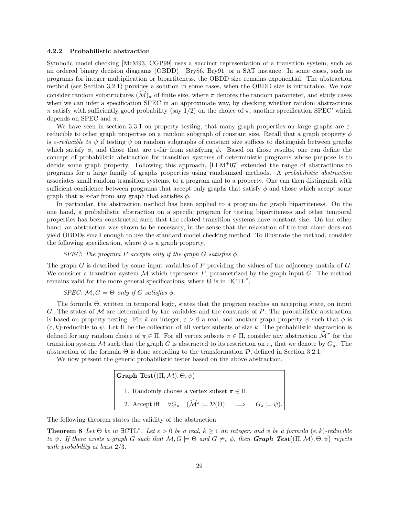#### 4.2.2 Probabilistic abstraction

Symbolic model checking [McM93, CGP99] uses a succinct representation of a transition system, such as an ordered binary decision diagrams (OBDD) [Bry86, Bry91] or a SAT instance. In some cases, such as programs for integer multiplication or bipartiteness, the OBDD size remains exponential. The abstraction method (see Section 3.2.1) provides a solution in some cases, when the OBDD size is intractable. We now consider random substructures  $(\mathcal{M})_\pi$  of finite size, where  $\pi$  denotes the random parameter, and study cases when we can infer a specification SPEC in an approximate way, by checking whether random abstractions π satisfy with sufficiently good probability (say 1/2) on the choice of π, another specification SPEC' which depends on SPEC and  $\pi$ .

We have seen in section 3.3.1 on property testing, that many graph properties on large graphs are  $\varepsilon$ reducible to other graph properties on a random subgraph of constant size. Recall that a graph property  $\phi$ is  $\varepsilon$ -reducible to  $\psi$  if testing  $\psi$  on random subgraphs of constant size suffices to distinguish between graphs which satisfy  $\phi$ , and those that are *ε*-far from satisfying  $\phi$ . Based on those results, one can define the concept of probabilistic abstraction for transition systems of deterministic programs whose purpose is to decide some graph property. Following this approach, [LLM+07] extended the range of abstractions to programs for a large family of graphs properties using randomized methods. A probabilistic abstraction associates small random transition systems, to a program and to a property. One can then distinguish with sufficient confidence between programs that accept only graphs that satisfy  $\phi$  and those which accept some graph that is  $\varepsilon$ -far from any graph that satisfies  $\phi$ .

In particular, the abstraction method has been applied to a program for graph bipartiteness. On the one hand, a probabilistic abstraction on a specific program for testing bipartiteness and other temporal properties has been constructed such that the related transition systems have constant size. On the other hand, an abstraction was shown to be necessary, in the sense that the relaxation of the test alone does not yield OBDDs small enough to use the standard model checking method. To illustrate the method, consider the following specification, where  $\phi$  is a graph property,

### SPEC: The program P accepts only if the graph G satisfies  $\phi$ .

The graph G is described by some input variables of P providing the values of the adjacency matrix of G. We consider a transition system  $M$  which represents  $P$ , parametrized by the graph input  $G$ . The method remains valid for the more general specifications, where  $\Theta$  is in  $\exists \text{CTL}^*$ ,

### $SPEC: \mathcal{M}, G \models \Theta$  only if G satisfies  $\phi$ .

The formula Θ, written in temporal logic, states that the program reaches an accepting state, on input G. The states of  $\mathcal M$  are determined by the variables and the constants of  $P$ . The probabilistic abstraction is based on property testing. Fix k an integer,  $\varepsilon > 0$  a real, and another graph property  $\psi$  such that  $\phi$  is  $(\varepsilon, k)$ -reducible to  $\psi$ . Let  $\Pi$  be the collection of all vertex subsets of size k. The probabilistic abstraction is defined for any random choice of  $\pi \in \Pi$ . For all vertex subsets  $\pi \in \Pi$ , consider any abstraction  $\widehat{\mathcal{M}}^{\pi}$  for the transition system M such that the graph G is abstracted to its restriction on  $\pi$ , that we denote by  $G_{\pi}$ . The abstraction of the formula  $\Theta$  is done according to the transformation  $\mathcal{D}$ , defined in Section 3.2.1.

We now present the generic probabilistic tester based on the above abstraction.

Graph Test $((\Pi, \mathcal{M}), \Theta, \psi)$ 1. Randomly choose a vertex subset  $\pi \in \Pi$ . 2. Accept iff  $\forall G_{\pi} \ (\widehat{\mathcal{M}}^{\pi} \models \mathcal{D}(\Theta) \implies G_{\pi} \models \psi).$ 

The following theorem states the validity of the abstraction.

**Theorem 8** Let  $\Theta$  be in  $\exists \text{CTL}^*$ . Let  $\varepsilon > 0$  be a real,  $k \geq 1$  an integer, and  $\phi$  be a formula  $(\varepsilon, k)$ -reducible to  $\psi$ . If there exists a graph G such that  $\mathcal{M}, G \models \Theta$  and  $G \not\models_{\varepsilon} \phi$ , then **Graph Test** $((\Pi, \mathcal{M}), \Theta, \psi)$  rejects with probability at least 2/3.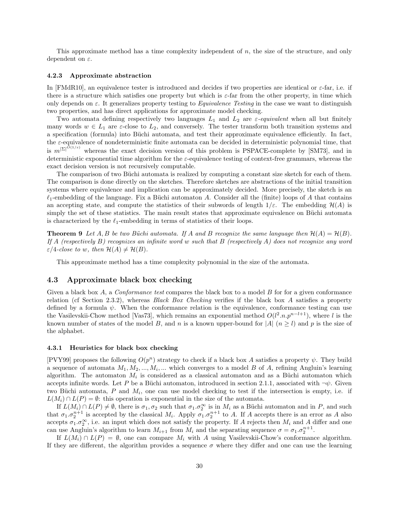This approximate method has a time complexity independent of n, the size of the structure, and only dependent on  $\varepsilon$ .

### 4.2.3 Approximate abstraction

In [FMdR10], an equivalence tester is introduced and decides if two properties are identical or  $\varepsilon$ -far, i.e. if there is a structure which satisfies one property but which is  $\varepsilon$ -far from the other property, in time which only depends on  $\varepsilon$ . It generalizes property testing to *Equivalence Testing* in the case we want to distinguish two properties, and has direct applications for approximate model checking.

Two automata defining respectively two languages  $L_1$  and  $L_2$  are  $\varepsilon$ -equivalent when all but finitely many words  $w \in L_1$  are  $\varepsilon$ -close to  $L_2$ , and conversely. The tester transform both transition systems and a specification (formula) into Büchi automata, and test their approximate equivalence efficiently. In fact, the ε-equivalence of nondeterministic finite automata can be decided in deterministic polynomial time, that is  $m^{\vert \Sigma \vert^{O(1/\varepsilon)}}$  whereas the exact decision version of this problem is PSPACE-complete by [SM73], and in deterministic exponential time algorithm for the  $\varepsilon$ -equivalence testing of context-free grammars, whereas the exact decision version is not recursively computable.

The comparison of two Büchi automata is realized by computing a constant size sketch for each of them. The comparison is done directly on the sketches. Therefore sketches are abstractions of the initial transition systems where equivalence and implication can be approximately decided. More precisely, the sketch is an  $\ell_1$ -embedding of the language. Fix a Büchi automaton A. Consider all the (finite) loops of A that contains an accepting state, and compute the statistics of their subwords of length  $1/\varepsilon$ . The embedding  $\mathcal{H}(A)$  is simply the set of these statistics. The main result states that approximate equivalence on Büchi automata is characterized by the  $\ell_1$ -embedding in terms of statistics of their loops.

**Theorem 9** Let A, B be two Büchi automata. If A and B recognize the same language then  $\mathcal{H}(A) = \mathcal{H}(B)$ . If A (respectively B) recognizes an infinite word w such that B (respectively A) does not recognize any word  $\varepsilon/4$ -close to w, then  $\mathcal{H}(A) \neq \mathcal{H}(B)$ .

This approximate method has a time complexity polynomial in the size of the automata.

### 4.3 Approximate black box checking

Given a black box  $A$ , a *Conformance test* compares the black box to a model  $B$  for for a given conformance relation (cf Section 2.3.2), whereas Black Box Checking verifies if the black box A satisfies a property defined by a formula  $\psi$ . When the conformance relation is the equivalence, conformance testing can use the Vasilevskii-Chow method [Vas73], which remains an exponential method  $O(l^2.n.p^{n-l+1})$ , where l is the known number of states of the model B, and n is a known upper-bound for |A|  $(n \geq l)$  and p is the size of the alphabet.

#### 4.3.1 Heuristics for black box checking

[PVY99] proposes the following  $O(p^n)$  strategy to check if a black box A satisfies a property  $\psi$ . They build a sequence of automata  $M_1, M_2, ..., M_i, ...$  which converges to a model B of A, refining Angluin's learning algorithm. The automaton  $M_i$  is considered as a classical automaton and as a Büchi automaton which accepts infinite words. Let P be a Büchi automaton, introduced in section 2.1.1, associated with  $\neg \psi$ . Given two Büchi automata,  $P$  and  $M_i$ , one can use model checking to test if the intersection is empty, i.e. if  $L(M_i) \cap L(P) = \emptyset$ : this operation is exponential in the size of the automata.

If  $L(M_i) \cap L(P) \neq \emptyset$ , there is  $\sigma_1, \sigma_2$  such that  $\sigma_1 \cdot \sigma_2^{\infty}$  is in  $M_i$  as a Büchi automaton and in P, and such that  $\sigma_1 \cdot \sigma_2^{n+1}$  is accepted by the classical  $M_i$ . Apply  $\sigma_1 \cdot \sigma_2^{n+1}$  to A. If A accepts there is an error as A also accepts  $\sigma_1 \sigma_2^{\infty}$ , i.e. an input which does not satisfy the property. If A rejects then  $M_i$  and A differ and one can use Angluin's algorithm to learn  $M_{i+1}$  from  $M_i$  and the separating sequence  $\sigma = \sigma_1 \cdot \sigma_2^{n+1}$ .

If  $L(M_i) \cap L(P) = \emptyset$ , one can compare  $M_i$  with A using Vasilevskii-Chow's conformance algorithm. If they are different, the algorithm provides a sequence  $\sigma$  where they differ and one can use the learning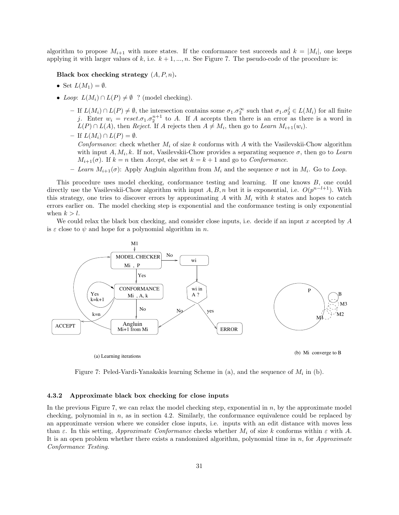algorithm to propose  $M_{i+1}$  with more states. If the conformance test succeeds and  $k = |M_i|$ , one keeps applying it with larger values of k, i.e.  $k + 1, ..., n$ . See Figure 7. The pseudo-code of the procedure is:

### Black box checking strategy  $(A, P, n)$ .

- Set  $L(M_1) = \emptyset$ .
- Loop:  $L(M_i) \cap L(P) \neq \emptyset$  ? (model checking).
	- $-$  If  $L(M_i) ∩ L(P) \neq \emptyset$ , the intersection contains some  $\sigma_1.\sigma_2^{\infty}$  such that  $\sigma_1.\sigma_2^j \in L(M_i)$  for all finite j. Enter  $w_i = reset.\sigma_1.\sigma_2^{n+1}$  to A. If A accepts then there is an error as there is a word in  $L(P) \cap L(A)$ , then *Reject*. If A rejects then  $A \neq M_i$ , then go to Learn  $M_{i+1}(w_i)$ .
	- $-$  If  $L(M_i) \cap L(P) = \emptyset$ . Conformance: check whether  $M_i$  of size k conforms with A with the Vasilevskii-Chow algorithm with input  $A, M_i, k$ . If not, Vasilevskii-Chow provides a separating sequence  $\sigma$ , then go to Learn  $M_{i+1}(\sigma)$ . If  $k = n$  then Accept, else set  $k = k + 1$  and go to Conformance.
	- Learn  $M_{i+1}(\sigma)$ : Apply Angluin algorithm from  $M_i$  and the sequence  $\sigma$  not in  $M_i$ . Go to Loop.

This procedure uses model checking, conformance testing and learning. If one knows B, one could directly use the Vasilevskii-Chow algorithm with input  $A, B, n$  but it is exponential, i.e.  $O(p^{n-l+1})$ . With this strategy, one tries to discover errors by approximating  $A$  with  $M_i$  with  $k$  states and hopes to catch errors earlier on. The model checking step is exponential and the conformance testing is only exponential when  $k > l$ .

We could relax the black box checking, and consider close inputs, i.e. decide if an input  $x$  accepted by  $A$ is  $\varepsilon$  close to  $\psi$  and hope for a polynomial algorithm in n.



(a) Learning iterations (b) Mi converge to B

Figure 7: Peled-Vardi-Yanakakis learning Scheme in  $(a)$ , and the sequence of  $M_i$  in  $(b)$ .

### 4.3.2 Approximate black box checking for close inputs

In the previous Figure 7, we can relax the model checking step, exponential in  $n$ , by the approximate model checking, polynomial in  $n$ , as in section 4.2. Similarly, the conformance equivalence could be replaced by an approximate version where we consider close inputs, i.e. inputs with an edit distance with moves less than  $\varepsilon$ . In this setting, *Approximate Conformance* checks whether  $M_i$  of size k conforms within  $\varepsilon$  with A. It is an open problem whether there exists a randomized algorithm, polynomial time in  $n$ , for  $Approximate$ Conformance Testing.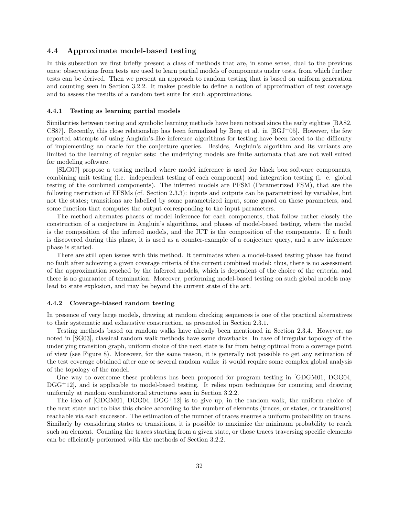### 4.4 Approximate model-based testing

In this subsection we first briefly present a class of methods that are, in some sense, dual to the previous ones: observations from tests are used to learn partial models of components under tests, from which further tests can be derived. Then we present an approach to random testing that is based on uniform generation and counting seen in Section 3.2.2. It makes possible to define a notion of approximation of test coverage and to assess the results of a random test suite for such approximations.

#### 4.4.1 Testing as learning partial models

Similarities between testing and symbolic learning methods have been noticed since the early eighties [BA82, CS87]. Recently, this close relationship has been formalized by Berg et al. in  $[BGJ<sup>+</sup>05]$ . However, the few reported attempts of using Angluin's-like inference algorithms for testing have been faced to the difficulty of implementing an oracle for the conjecture queries. Besides, Angluin's algorithm and its variants are limited to the learning of regular sets: the underlying models are finite automata that are not well suited for modeling software.

[SLG07] propose a testing method where model inference is used for black box software components, combining unit testing (i.e. independent testing of each component) and integration testing (i. e. global testing of the combined components). The inferred models are PFSM (Parametrized FSM), that are the following restriction of EFSMs (cf. Section 2.3.3): inputs and outputs can be parametrized by variables, but not the states; transitions are labelled by some parametrized input, some guard on these parameters, and some function that computes the output corresponding to the input parameters.

The method alternates phases of model inference for each components, that follow rather closely the construction of a conjecture in Angluin's algorithms, and phases of model-based testing, where the model is the composition of the inferred models, and the IUT is the composition of the components. If a fault is discovered during this phase, it is used as a counter-example of a conjecture query, and a new inference phase is started.

There are still open issues with this method. It terminates when a model-based testing phase has found no fault after achieving a given coverage criteria of the current combined model: thus, there is no assessment of the approximation reached by the inferred models, which is dependent of the choice of the criteria, and there is no guarantee of termination. Moreover, performing model-based testing on such global models may lead to state explosion, and may be beyond the current state of the art.

#### 4.4.2 Coverage-biased random testing

In presence of very large models, drawing at random checking sequences is one of the practical alternatives to their systematic and exhaustive construction, as presented in Section 2.3.1.

Testing methods based on random walks have already been mentioned in Section 2.3.4. However, as noted in [SG03], classical random walk methods have some drawbacks. In case of irregular topology of the underlying transition graph, uniform choice of the next state is far from being optimal from a coverage point of view (see Figure 8). Moreover, for the same reason, it is generally not possible to get any estimation of the test coverage obtained after one or several random walks: it would require some complex global analysis of the topology of the model.

One way to overcome these problems has been proposed for program testing in [GDGM01, DGG04, DGG<sup>+</sup>12], and is applicable to model-based testing. It relies upon techniques for counting and drawing uniformly at random combinatorial structures seen in Section 3.2.2.

The idea of  $[GDGM01, DGG04, DGG<sup>+</sup>12]$  is to give up, in the random walk, the uniform choice of the next state and to bias this choice according to the number of elements (traces, or states, or transitions) reachable via each successor. The estimation of the number of traces ensures a uniform probability on traces. Similarly by considering states or transitions, it is possible to maximize the minimum probability to reach such an element. Counting the traces starting from a given state, or those traces traversing specific elements can be efficiently performed with the methods of Section 3.2.2.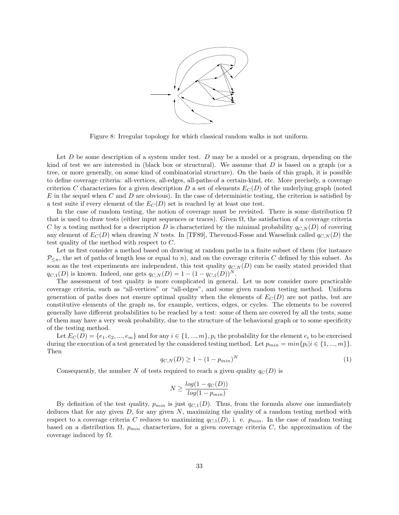

Figure 8: Irregular topology for which classical random walks is not uniform.

Let  $D$  be some description of a system under test.  $D$  may be a model or a program, depending on the kind of test we are interested in (black box or structural). We assume that  $D$  is based on a graph (or a tree, or more generally, on some kind of combinatorial structure). On the basis of this graph, it is possible to define coverage criteria: all-vertices, all-edges, all-paths-of a certain-kind, etc. More precisely, a coverage criterion C characterizes for a given description D a set of elements  $E_C(D)$  of the underlying graph (noted  $E$  in the sequel when  $C$  and  $D$  are obvious). In the case of deterministic testing, the criterion is satisfied by a test suite if every element of the  $E_C(D)$  set is reached by at least one test.

In the case of random testing, the notion of coverage must be revisited. There is some distribution  $\Omega$ that is used to draw tests (either input sequences or traces). Given  $\Omega$ , the satisfaction of a coverage criteria C by a testing method for a description D is characterized by the minimal probability  $q_{C,N}(D)$  of covering any element of  $E_C(D)$  when drawing N tests. In [TF89], Thevenod-Fosse and Waeselink called  $q_{C,N}(D)$  the test quality of the method with respect to C.

Let us first consider a method based on drawing at random paths in a finite subset of them (for instance  $P_{\leq n}$ , the set of paths of length less or equal to n), and on the coverage criteria C defined by this subset. As soon as the test experiments are independent, this test quality  $q_{C,N}(D)$  can be easily stated provided that  $q_{C,1}(D)$  is known. Indeed, one gets  $q_{C,N}(D) = 1 - (1 - q_{C,1}(D))^N$ 

The assessment of test quality is more complicated in general. Let us now consider more practicable coverage criteria, such as "all-vertices" or "all-edges", and some given random testing method. Uniform generation of paths does not ensure optimal quality when the elements of  $E_C(D)$  are not paths, but are constitutive elements of the graph as, for example, vertices, edges, or cycles. The elements to be covered generally have different probabilities to be reached by a test: some of them are covered by all the tests, some of them may have a very weak probability, due to the structure of the behavioral graph or to some specificity of the testing method.

Let  $E_C(D) = \{e_1, e_2, ..., e_m\}$  and for any  $i \in \{1, ..., m\}$ ,  $p_i$  the probability for the element  $e_i$  to be exercised during the execution of a test generated by the considered testing method. Let  $p_{min} = min\{p_i | i \in \{1, ..., m\}\}.$ Then

$$
q_{C,N}(D) \ge 1 - (1 - p_{min})^N
$$
\n(1)

Consequently, the number N of tests required to reach a given quality  $q_C(D)$  is

$$
N \ge \frac{log(1 - q_C(D))}{log(1 - p_{min})}
$$

By definition of the test quality,  $p_{min}$  is just  $q_{C,1}(D)$ . Thus, from the formula above one immediately deduces that for any given  $D$ , for any given  $N$ , maximizing the quality of a random testing method with respect to a coverage criteria C reduces to maximizing  $q_{C,1}(D)$ , i. e.  $p_{min}$ . In the case of random testing based on a distribution  $\Omega$ ,  $p_{min}$  characterizes, for a given coverage criteria C, the approximation of the coverage induced by  $Ω$ .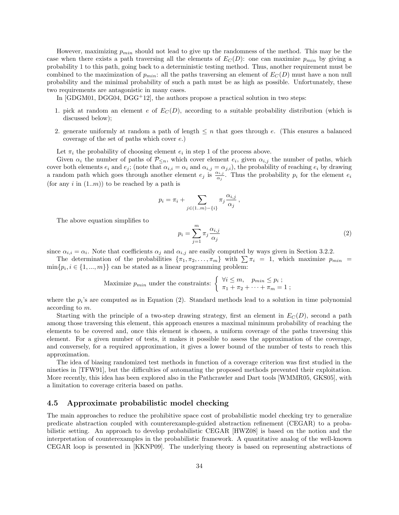However, maximizing  $p_{min}$  should not lead to give up the randomness of the method. This may be the case when there exists a path traversing all the elements of  $E_C(D)$ : one can maximize  $p_{min}$  by giving a probability 1 to this path, going back to a deterministic testing method. Thus, another requirement must be combined to the maximization of  $p_{min}$ : all the paths traversing an element of  $E_C(D)$  must have a non null probability and the minimal probability of such a path must be as high as possible. Unfortunately, these two requirements are antagonistic in many cases.

In  $[G<sub>D</sub>GM<sub>01</sub>, <sub>D</sub>GG<sub>04</sub>, <sub>D</sub>GG<sup>+</sup><sub>12</sub>]$ , the authors propose a practical solution in two steps:

- 1. pick at random an element e of  $E_C(D)$ , according to a suitable probability distribution (which is discussed below);
- 2. generate uniformly at random a path of length  $\leq n$  that goes through e. (This ensures a balanced coverage of the set of paths which cover e.)

Let  $\pi_i$  the probability of choosing element  $e_i$  in step 1 of the process above.

Given  $\alpha_i$  the number of paths of  $\mathcal{P}_{\leq n}$ , which cover element  $e_i$ , given  $\alpha_{i,j}$  the number of paths, which cover both elements  $e_i$  and  $e_j$ ; (note that  $\alpha_{i,i} = \alpha_i$  and  $\alpha_{i,j} = \alpha_{j,i}$ ), the probability of reaching  $e_i$  by drawing a random path which goes through another element  $e_j$  is  $\frac{\alpha_{i,j}}{\alpha_j}$ . Thus the probability  $p_i$  for the element  $e_i$ (for any  $i$  in  $(1..m)$ ) to be reached by a path is

$$
p_i = \pi_i + \sum_{j \in (1..m)-\{i\}} \pi_j \frac{\alpha_{i,j}}{\alpha_j},
$$

The above equation simplifies to

$$
p_i = \sum_{j=1}^{m} \pi_j \frac{\alpha_{i,j}}{\alpha_j} \tag{2}
$$

since  $\alpha_{i,i} = \alpha_i$ . Note that coefficients  $\alpha_j$  and  $\alpha_{i,j}$  are easily computed by ways given in Section 3.2.2.

The determination of the probabilities  $\{\pi_1, \pi_2, \ldots, \pi_m\}$  with  $\sum \pi_i = 1$ , which maximize  $p_{min} =$  $\min\{p_i, i \in \{1, ..., m\}\}\$ can be stated as a linear programming problem:

Maximize 
$$
p_{min}
$$
 under the constraints: 
$$
\begin{cases} \forall i \leq m, & p_{min} \leq p_i ; \\ \pi_1 + \pi_2 + \cdots + \pi_m = 1 ; \end{cases}
$$

where the  $p_i$ 's are computed as in Equation (2). Standard methods lead to a solution in time polynomial according to m.

Starting with the principle of a two-step drawing strategy, first an element in  $E<sub>C</sub>(D)$ , second a path among those traversing this element, this approach ensures a maximal minimum probability of reaching the elements to be covered and, once this element is chosen, a uniform coverage of the paths traversing this element. For a given number of tests, it makes it possible to assess the approximation of the coverage, and conversely, for a required approximation, it gives a lower bound of the number of tests to reach this approximation.

The idea of biasing randomized test methods in function of a coverage criterion was first studied in the nineties in [TFW91], but the difficulties of automating the proposed methods prevented their exploitation. More recently, this idea has been explored also in the Pathcrawler and Dart tools [WMMR05, GKS05], with a limitation to coverage criteria based on paths.

### 4.5 Approximate probabilistic model checking

The main approaches to reduce the prohibitive space cost of probabilistic model checking try to generalize predicate abstraction coupled with counterexample-guided abstraction refinement (CEGAR) to a probabilistic setting. An approach to develop probabilistic CEGAR [HWZ08] is based on the notion and the interpretation of counterexamples in the probabilistic framework. A quantitative analog of the well-known CEGAR loop is presented in [KKNP09]. The underlying theory is based on representing abstractions of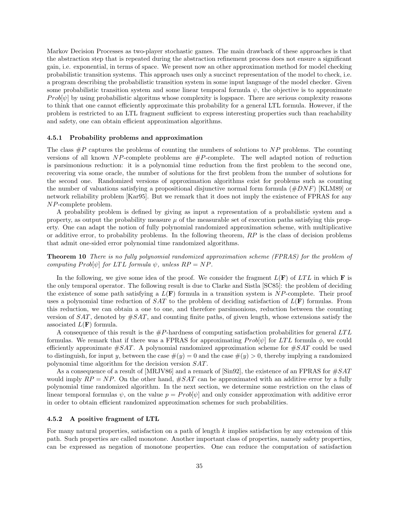Markov Decision Processes as two-player stochastic games. The main drawback of these approaches is that the abstraction step that is repeated during the abstraction refinement process does not ensure a significant gain, i.e. exponential, in terms of space. We present now an other approximation method for model checking probabilistic transition systems. This approach uses only a succinct representation of the model to check, i.e. a program describing the probabilistic transition system in some input language of the model checker. Given some probabilistic transition system and some linear temporal formula  $\psi$ , the objective is to approximate  $Prob[\psi]$  by using probabilistic algoritms whose complexity is logspace. There are serious complexity reasons to think that one cannot efficiently approximate this probability for a general LTL formula. However, if the problem is restricted to an LTL fragment sufficient to express interesting properties such than reachability and safety, one can obtain efficient approximation algorithms.

### 4.5.1 Probability problems and approximation

The class  $\#P$  captures the problems of counting the numbers of solutions to NP problems. The counting versions of all known NP-complete problems are  $\#P$ -complete. The well adapted notion of reduction is parsimonious reduction: it is a polynomial time reduction from the first problem to the second one, recovering via some oracle, the number of solutions for the first problem from the number of solutions for the second one. Randomized versions of approximation algorithms exist for problems such as counting the number of valuations satisfying a propositional disjunctive normal form formula  $(\#DNF)$  [KLM89] or network reliability problem [Kar95]. But we remark that it does not imply the existence of FPRAS for any NP-complete problem.

A probability problem is defined by giving as input a representation of a probabilistic system and a property, as output the probability measure  $\mu$  of the measurable set of execution paths satisfying this property. One can adapt the notion of fully polynomial randomized approximation scheme, with multiplicative or additive error, to probability problems. In the following theorem,  $RP$  is the class of decision problems that admit one-sided error polynomial time randomized algorithms.

Theorem 10 There is no fully polynomial randomized approximation scheme (FPRAS) for the problem of computing  $Prob[\psi]$  for LTL formula  $\psi$ , unless  $RP = NP$ .

In the following, we give some idea of the proof. We consider the fragment  $L(\mathbf{F})$  of  $LTL$  in which  $\mathbf{F}$  is the only temporal operator. The following result is due to Clarke and Sistla [SC85]: the problem of deciding the existence of some path satisfying a  $L(\mathbf{F})$  formula in a transition system is NP-complete. Their proof uses a polynomial time reduction of  $SAT$  to the problem of deciding satisfaction of  $L(\mathbf{F})$  formulas. From this reduction, we can obtain a one to one, and therefore parsimonious, reduction between the counting version of  $SAT$ , denoted by  $#SAT$ , and counting finite paths, of given length, whose extensions satisfy the associated  $L(\mathbf{F})$  formula.

A consequence of this result is the  $\#P$ -hardness of computing satisfaction probabilities for general LTL formulas. We remark that if there was a FPRAS for approximating  $Prob[\psi]$  for LTL formula  $\phi$ , we could efficiently approximate  $\#SAT$ . A polynomial randomized approximation scheme for  $\#SAT$  could be used to distinguish, for input y, between the case  $\#(y) = 0$  and the case  $\#(y) > 0$ , thereby implying a randomized polynomial time algorithm for the decision version SAT.

As a consequence of a result of [MRJV86] and a remark of [Sin92], the existence of an FPRAS for  $\#SAT$ would imply  $RP = NP$ . On the other hand,  $\#SAT$  can be approximated with an additive error by a fully polynomial time randomized algorithm. In the next section, we determine some restriction on the class of linear temporal formulas  $\psi$ , on the value  $p = Prob[\psi]$  and only consider approximation with additive error in order to obtain efficient randomized approximation schemes for such probabilities.

### 4.5.2 A positive fragment of LTL

For many natural properties, satisfaction on a path of length k implies satisfaction by any extension of this path. Such properties are called monotone. Another important class of properties, namely safety properties, can be expressed as negation of monotone properties. One can reduce the computation of satisfaction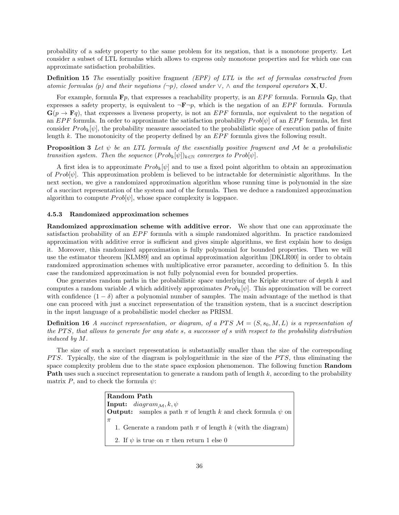probability of a safety property to the same problem for its negation, that is a monotone property. Let consider a subset of LTL formulas which allows to express only monotone properties and for which one can approximate satisfaction probabilities.

**Definition 15** The essentially positive fragment *(EPF)* of LTL is the set of formulas constructed from atomic formulas (p) and their negations  $(\neg p)$ , closed under  $\vee$ ,  $\wedge$  and the temporal operators **X**, **U**.

For example, formula  $\mathbf{F}p$ , that expresses a reachability property, is an  $EPF$  formula. Formula  $\mathbf{G}p$ , that expresses a safety property, is equivalent to  $\neg \mathbf{F} \neg p$ , which is the negation of an EPF formula. Formula  $\mathbf{G}(p \to \mathbf{F}q)$ , that expresses a liveness property, is not an EPF formula, nor equivalent to the negation of an EPF formula. In order to approximate the satisfaction probability  $Prob[\psi]$  of an EPF formula, let first consider  $Prob_k[\psi]$ , the probability measure associated to the probabilistic space of execution paths of finite length k. The monotonicity of the property defined by an  $EPF$  formula gives the following result.

**Proposition 3** Let  $\psi$  be an LTL formula of the essentially positive fragment and M be a probabilistic transition system. Then the sequence  $(Prob_k[\psi])_{k\in\mathbb{N}}$  converges to  $Prob[\psi]$ .

A first idea is to approximate  $Prob_k[\psi]$  and to use a fixed point algorithm to obtain an approximation of  $Prob[\psi]$ . This approximation problem is believed to be intractable for deterministic algorithms. In the next section, we give a randomized approximation algorithm whose running time is polynomial in the size of a succinct representation of the system and of the formula. Then we deduce a randomized approximation algorithm to compute  $Prob[\psi]$ , whose space complexity is logspace.

### 4.5.3 Randomized approximation schemes

Randomized approximation scheme with additive error. We show that one can approximate the satisfaction probability of an EPF formula with a simple randomized algorithm. In practice randomized approximation with additive error is sufficient and gives simple algorithms, we first explain how to design it. Moreover, this randomized approximation is fully polynomial for bounded properties. Then we will use the estimator theorem [KLM89] and an optimal approximation algorithm [DKLR00] in order to obtain randomized approximation schemes with multiplicative error parameter, according to definition 5. In this case the randomized approximation is not fully polynomial even for bounded properties.

One generates random paths in the probabilistic space underlying the Kripke structure of depth k and computes a random variable A which additively approximates  $Prob_k[\psi]$ . This approximation will be correct with confidence  $(1 - \delta)$  after a polynomial number of samples. The main advantage of the method is that one can proceed with just a succinct representation of the transition system, that is a succinct description in the input language of a probabilistic model checker as PRISM.

**Definition 16** A succinct representation, or diagram, of a PTS  $\mathcal{M} = (S, s_0, M, L)$  is a representation of the PTS, that allows to generate for any state s, a successor of s with respect to the probability distribution induced by M.

The size of such a succinct representation is substantially smaller than the size of the corresponding PTS. Typically, the size of the diagram is polylogarithmic in the size of the PTS, thus eliminating the space complexity problem due to the state space explosion phenomenon. The following function **Random** Path uses such a succinct representation to generate a random path of length k, according to the probability matrix P, and to check the formula  $\psi$ :

| Random Path                                                                 |
|-----------------------------------------------------------------------------|
| <b>Input:</b> $diagram_{\mathcal{M}}, k, \psi$                              |
| <b>Output:</b> samples a path $\pi$ of length k and check formula $\psi$ on |
| π                                                                           |
| 1. Generate a random path $\pi$ of length k (with the diagram)              |
| 2. If $\psi$ is true on $\pi$ then return 1 else 0                          |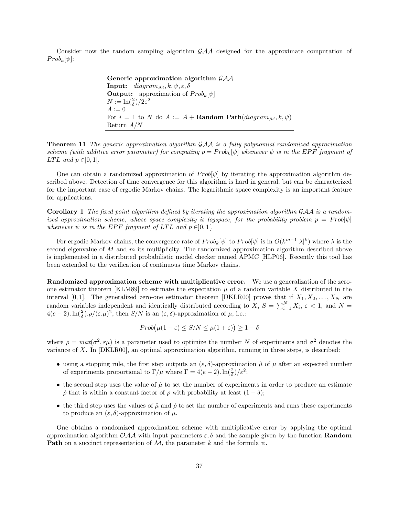Consider now the random sampling algorithm GAA designed for the approximate computation of  $Prob_k[\psi]$ :

> Generic approximation algorithm  $GAA$ **Input:** diagram<sub>M</sub>,  $k, \psi, \varepsilon, \delta$ **Output:** approximation of  $Prob_k[\psi]$  $N := \ln(\frac{2}{\delta})/2\varepsilon^2$  $A := 0$ For  $i = 1$  to N do  $A := A + \textbf{Random Path}(diagram_{\mathcal{M}}, k, \psi)$ Return A/N

Theorem 11 The generic approximation algorithm GAA is a fully polynomial randomized approximation scheme (with additive error parameter) for computing  $p = Prob_k[\psi]$  whenever  $\psi$  is in the EPF fragment of  $LTL$  and  $p \in ]0,1[$ .

One can obtain a randomized approximation of  $Prob[\psi]$  by iterating the approximation algorithm described above. Detection of time convergence for this algorithm is hard in general, but can be characterized for the important case of ergodic Markov chains. The logarithmic space complexity is an important feature for applications.

Corollary 1 The fixed point algorithm defined by iterating the approximation algorithm GAA is a randomized approximation scheme, whose space complexity is logspace, for the probability problem  $p = Prob[\psi]$ whenever  $\psi$  is in the EPF fragment of LTL and  $p \in ]0,1[$ .

For ergodic Markov chains, the convergence rate of  $Prob_k[\psi]$  to  $Prob[\psi]$  is in  $O(k^{m-1}|\lambda|^k)$  where  $\lambda$  is the second eigenvalue of M and  $m$  its multiplicity. The randomized approximation algorithm described above is implemented in a distributed probabilistic model checker named APMC [HLP06]. Recently this tool has been extended to the verification of continuous time Markov chains.

Randomized approximation scheme with multiplicative error. We use a generalization of the zeroone estimator theorem [KLM89] to estimate the expectation  $\mu$  of a random variable X distributed in the interval [0, 1]. The generalized zero-one estimator theorem [DKLR00] proves that if  $X_1, X_2, \ldots, X_N$  are random variables independent and identically distributed according to X,  $S = \sum_{i=1}^{N} X_i$ ,  $\varepsilon < 1$ , and  $N =$  $4(e-2) \cdot \ln(\frac{2}{\delta}) \cdot \rho/(\varepsilon \cdot \mu)^2$ , then  $S/N$  is an  $(\varepsilon, \delta)$ -approximation of  $\mu$ , i.e.:

$$
Prob(\mu(1 - \varepsilon) \leq S/N \leq \mu(1 + \varepsilon)) \geq 1 - \delta
$$

where  $\rho = max(\sigma^2, \varepsilon \mu)$  is a parameter used to optimize the number N of experiments and  $\sigma^2$  denotes the variance of  $X$ . In  $[DKL R00]$ , an optimal approximation algorithm, running in three steps, is described:

- using a stopping rule, the first step outputs an  $(\varepsilon, \delta)$ -approximation  $\hat{\mu}$  of  $\mu$  after an expected number of experiments proportional to  $\Gamma/\mu$  where  $\Gamma = 4(e-2) \cdot \ln(\frac{2}{\delta})/\varepsilon^2$ ;
- the second step uses the value of  $\hat{\mu}$  to set the number of experiments in order to produce an estimate  $\hat{\rho}$  that is within a constant factor of  $\rho$  with probability at least  $(1 - \delta)$ ;
- the third step uses the values of  $\hat{\mu}$  and  $\hat{\rho}$  to set the number of experiments and runs these experiments to produce an  $(\varepsilon, \delta)$ -approximation of  $\mu$ .

One obtains a randomized approximation scheme with multiplicative error by applying the optimal approximation algorithm  $O\mathcal{A}A$  with input parameters  $\varepsilon, \delta$  and the sample given by the function **Random Path** on a succinct representation of  $M$ , the parameter k and the formula  $\psi$ .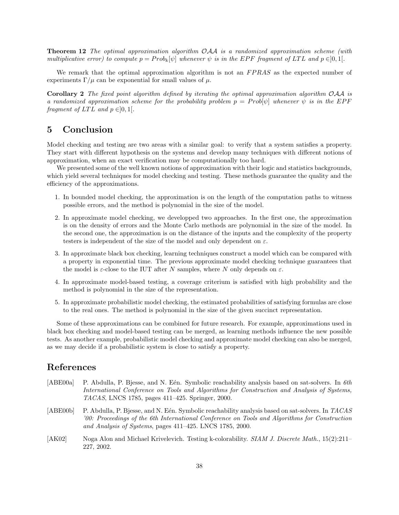**Theorem 12** The optimal approximation algorithm  $OAA$  is a randomized approximation scheme (with multiplicative error) to compute  $p = Prob_k[\psi]$  whenever  $\psi$  is in the EPF fragment of LTL and  $p \in ]0,1[$ .

We remark that the optimal approximation algorithm is not an FPRAS as the expected number of experiments  $\Gamma/\mu$  can be exponential for small values of  $\mu$ .

Corollary 2 The fixed point algorithm defined by iterating the optimal approximation algorithm OAA is a randomized approximation scheme for the probability problem  $p = Prob[\psi]$  whenever  $\psi$  is in the EPF fragment of LTL and  $p \in ]0,1[$ .

# 5 Conclusion

Model checking and testing are two areas with a similar goal: to verify that a system satisfies a property. They start with different hypothesis on the systems and develop many techniques with different notions of approximation, when an exact verification may be computationally too hard.

We presented some of the well known notions of approximation with their logic and statistics backgrounds, which yield several techniques for model checking and testing. These methods guarantee the quality and the efficiency of the approximations.

- 1. In bounded model checking, the approximation is on the length of the computation paths to witness possible errors, and the method is polynomial in the size of the model.
- 2. In approximate model checking, we developped two approaches. In the first one, the approximation is on the density of errors and the Monte Carlo methods are polynomial in the size of the model. In the second one, the approximation is on the distance of the inputs and the complexity of the property testers is independent of the size of the model and only dependent on  $\varepsilon$ .
- 3. In approximate black box checking, learning techniques construct a model which can be compared with a property in exponential time. The previous approximate model checking technique guarantees that the model is  $\varepsilon$ -close to the IUT after N samples, where N only depends on  $\varepsilon$ .
- 4. In approximate model-based testing, a coverage criterium is satisfied with high probability and the method is polynomial in the size of the representation.
- 5. In approximate probabilistic model checking, the estimated probabilities of satisfying formulas are close to the real ones. The method is polynomial in the size of the given succinct representation.

Some of these approximations can be combined for future research. For example, approximations used in black box checking and model-based testing can be merged, as learning methods influence the new possible tests. As another example, probabilistic model checking and approximate model checking can also be merged, as we may decide if a probabilistic system is close to satisfy a property.

# References

- [ABE00a] P. Abdulla, P. Bjesse, and N. Eén. Symbolic reachability analysis based on sat-solvers. In 6th International Conference on Tools and Algorithms for Construction and Analysis of Systems, TACAS, LNCS 1785, pages 411–425. Springer, 2000. [ABE00b] P. Abdulla, P. Bjesse, and N. Eén. Symbolic reachability analysis based on sat-solvers. In TACAS '00: Proceedings of the 6th International Conference on Tools and Algorithms for Construction and Analysis of Systems, pages 411–425. LNCS 1785, 2000.
- [AK02] Noga Alon and Michael Krivelevich. Testing k-colorability. SIAM J. Discrete Math., 15(2):211-227, 2002.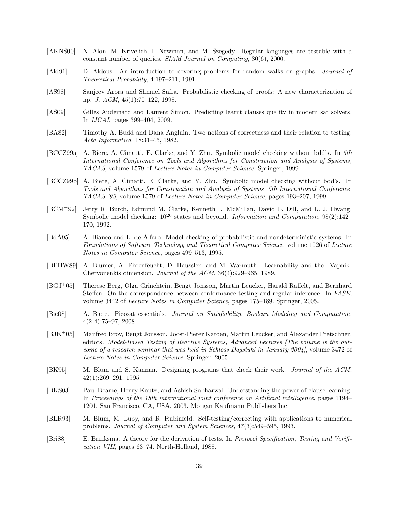- [AKNS00] N. Alon, M. Krivelich, I. Newman, and M. Szegedy. Regular languages are testable with a constant number of queries. SIAM Journal on Computing, 30(6), 2000.
- [Ald91] D. Aldous. An introduction to covering problems for random walks on graphs. *Journal of* Theoretical Probability, 4:197–211, 1991.
- [AS98] Sanjeev Arora and Shmuel Safra. Probabilistic checking of proofs: A new characterization of np. J. ACM, 45(1):70–122, 1998.
- [AS09] Gilles Audemard and Laurent Simon. Predicting learnt clauses quality in modern sat solvers. In IJCAI, pages 399–404, 2009.
- [BA82] Timothy A. Budd and Dana Angluin. Two notions of correctness and their relation to testing. Acta Informatica, 18:31–45, 1982.
- [BCCZ99a] A. Biere, A. Cimatti, E. Clarke, and Y. Zhu. Symbolic model checking without bdd's. In 5th International Conference on Tools and Algorithms for Construction and Analysis of Systems, TACAS, volume 1579 of Lecture Notes in Computer Science. Springer, 1999.
- [BCCZ99b] A. Biere, A. Cimatti, E. Clarke, and Y. Zhu. Symbolic model checking without bdd's. In Tools and Algorithms for Construction and Analysis of Systems, 5th International Conference, TACAS '99, volume 1579 of Lecture Notes in Computer Science, pages 193–207, 1999.
- [BCM+92] Jerry R. Burch, Edmund M. Clarke, Kenneth L. McMillan, David L. Dill, and L. J. Hwang. Symbolic model checking:  $10^{20}$  states and beyond. Information and Computation,  $98(2):142-$ 170, 1992.
- [BdA95] A. Bianco and L. de Alfaro. Model checking of probabilistic and nondeterministic systems. In Foundations of Software Technology and Theoretical Computer Science, volume 1026 of Lecture Notes in Computer Science, pages 499–513, 1995.
- [BEHW89] A. Blumer, A. Ehrenfeucht, D. Haussler, and M. Warmuth. Learnability and the Vapnik-Chervonenkis dimension. Journal of the ACM, 36(4):929–965, 1989.
- [BGJ+05] Therese Berg, Olga Grinchtein, Bengt Jonsson, Martin Leucker, Harald Raffelt, and Bernhard Steffen. On the correspondence between conformance testing and regular inference. In FASE, volume 3442 of Lecture Notes in Computer Science, pages 175–189. Springer, 2005.
- [Bie08] A. Biere. Picosat essentials. Journal on Satisfiability, Boolean Modeling and Computation, 4(2-4):75–97, 2008.
- [BJK+05] Manfred Broy, Bengt Jonsson, Joost-Pieter Katoen, Martin Leucker, and Alexander Pretschner, editors. Model-Based Testing of Reactive Systems, Advanced Lectures [The volume is the outcome of a research seminar that was held in Schloss Dagstuhl in January 2004], volume 3472 of Lecture Notes in Computer Science. Springer, 2005.
- [BK95] M. Blum and S. Kannan. Designing programs that check their work. *Journal of the ACM*, 42(1):269–291, 1995.
- [BKS03] Paul Beame, Henry Kautz, and Ashish Sabharwal. Understanding the power of clause learning. In Proceedings of the 18th international joint conference on Artificial intelligence, pages 1194– 1201, San Francisco, CA, USA, 2003. Morgan Kaufmann Publishers Inc.
- [BLR93] M. Blum, M. Luby, and R. Rubinfeld. Self-testing/correcting with applications to numerical problems. Journal of Computer and System Sciences, 47(3):549–595, 1993.
- [Bri88] E. Brinksma. A theory for the derivation of tests. In Protocol Specification, Testing and Verification VIII, pages 63–74. North-Holland, 1988.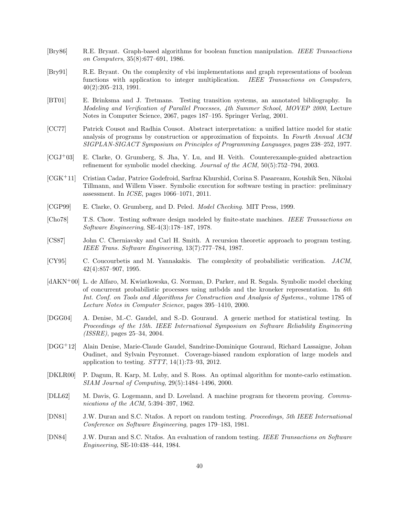- [Bry86] R.E. Bryant. Graph-based algorithms for boolean function manipulation. IEEE Transactions on Computers, 35(8):677–691, 1986.
- [Bry91] R.E. Bryant. On the complexity of vlsi implementations and graph representations of boolean functions with application to integer multiplication. IEEE Transactions on Computers, 40(2):205–213, 1991.
- [BT01] E. Brinksma and J. Tretmans. Testing transition systems, an annotated bibliography. In Modeling and Verification of Parallel Processes, 4th Summer School, MOVEP 2000, Lecture Notes in Computer Science, 2067, pages 187–195. Springer Verlag, 2001.
- [CC77] Patrick Cousot and Radhia Cousot. Abstract interpretation: a unified lattice model for static analysis of programs by construction or approximation of fixpoints. In Fourth Annual ACM SIGPLAN-SIGACT Symposium on Principles of Programming Languages, pages 238–252, 1977.
- [CGJ+03] E. Clarke, O. Grumberg, S. Jha, Y. Lu, and H. Veith. Counterexample-guided abstraction refinement for symbolic model checking. Journal of the ACM, 50(5):752–794, 2003.
- [CGK+11] Cristian Cadar, Patrice Godefroid, Sarfraz Khurshid, Corina S. Pasareanu, Koushik Sen, Nikolai Tillmann, and Willem Visser. Symbolic execution for software testing in practice: preliminary assessment. In ICSE, pages 1066–1071, 2011.
- [CGP99] E. Clarke, O. Grumberg, and D. Peled. Model Checking. MIT Press, 1999.
- [Cho78] T.S. Chow. Testing software design modeled by finite-state machines. IEEE Transactions on Software Engineering, SE-4(3):178–187, 1978.
- [CS87] John C. Cherniavsky and Carl H. Smith. A recursion theoretic approach to program testing. IEEE Trans. Software Engineering, 13(7):777–784, 1987.
- [CY95] C. Coucourbetis and M. Yannakakis. The complexity of probabilistic verification. JACM, 42(4):857–907, 1995.
- [dAKN+00] L. de Alfaro, M. Kwiatkowska, G. Norman, D. Parker, and R. Segala. Symbolic model checking of concurrent probabilistic processes using mtbdds and the kroneker representation. In 6th Int. Conf. on Tools and Algorithms for Construction and Analysis of Systems., volume 1785 of Lecture Notes in Computer Science, pages 395–1410, 2000.
- [DGG04] A. Denise, M.-C. Gaudel, and S.-D. Gouraud. A generic method for statistical testing. In Proceedings of the 15th. IEEE International Symposium on Software Reliability Engineering (ISSRE), pages 25–34, 2004.
- [DGG<sup>+</sup>12] Alain Denise, Marie-Claude Gaudel, Sandrine-Dominique Gouraud, Richard Lassaigne, Johan Oudinet, and Sylvain Peyronnet. Coverage-biased random exploration of large models and application to testing.  $STTT$ , 14(1):73-93, 2012.
- [DKLR00] P. Dagum, R. Karp, M. Luby, and S. Ross. An optimal algorithm for monte-carlo estimation. SIAM Journal of Computing, 29(5):1484–1496, 2000.
- [DLL62] M. Davis, G. Logemann, and D. Loveland. A machine program for theorem proving. Communications of the ACM, 5:394–397, 1962.
- [DN81] J.W. Duran and S.C. Ntafos. A report on random testing. Proceedings, 5th IEEE International Conference on Software Engineering, pages 179–183, 1981.
- [DN84] J.W. Duran and S.C. Ntafos. An evaluation of random testing. IEEE Transactions on Software Engineering, SE-10:438–444, 1984.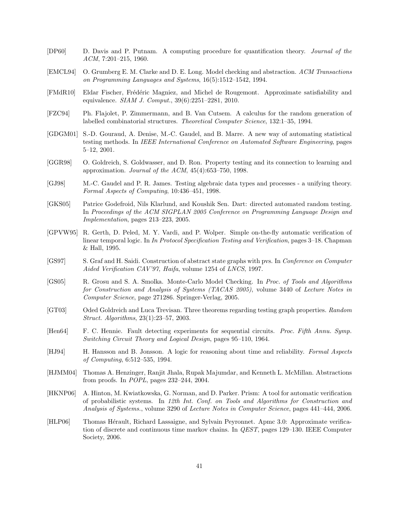- [DP60] D. Davis and P. Putnam. A computing procedure for quantification theory. Journal of the ACM, 7:201–215, 1960.
- [EMCL94] O. Grumberg E. M. Clarke and D. E. Long. Model checking and abstraction. ACM Transactions on Programming Languages and Systems, 16(5):1512–1542, 1994.
- [FMdR10] Eldar Fischer, Frédéric Magniez, and Michel de Rougemont. Approximate satisfiability and equivalence. SIAM J. Comput., 39(6):2251–2281, 2010.
- [FZC94] Ph. Flajolet, P. Zimmermann, and B. Van Cutsem. A calculus for the random generation of labelled combinatorial structures. Theoretical Computer Science, 132:1–35, 1994.
- [GDGM01] S.-D. Gouraud, A. Denise, M.-C. Gaudel, and B. Marre. A new way of automating statistical testing methods. In IEEE International Conference on Automated Software Engineering, pages 5–12, 2001.
- [GGR98] O. Goldreich, S. Goldwasser, and D. Ron. Property testing and its connection to learning and approximation. Journal of the ACM, 45(4):653–750, 1998.
- [GJ98] M.-C. Gaudel and P. R. James. Testing algebraic data types and processes a unifying theory. Formal Aspects of Computing, 10:436–451, 1998.
- [GKS05] Patrice Godefroid, Nils Klarlund, and Koushik Sen. Dart: directed automated random testing. In Proceedings of the ACM SIGPLAN 2005 Conference on Programming Language Design and Implementation, pages 213–223, 2005.
- [GPVW95] R. Gerth, D. Peled, M. Y. Vardi, and P. Wolper. Simple on-the-fly automatic verification of linear temporal logic. In In Protocol Specification Testing and Verification, pages 3–18. Chapman & Hall, 1995.
- [GS97] S. Graf and H. Saidi. Construction of abstract state graphs with pvs. In Conference on Computer Aided Verification CAV'97, Haifa, volume 1254 of LNCS, 1997.
- [GS05] R. Grosu and S. A. Smolka. Monte-Carlo Model Checking. In Proc. of Tools and Algorithms for Construction and Analysis of Systems (TACAS 2005), volume 3440 of Lecture Notes in Computer Science, page 271286. Springer-Verlag, 2005.
- [GT03] Oded Goldreich and Luca Trevisan. Three theorems regarding testing graph properties. Random Struct. Algorithms, 23(1):23–57, 2003.
- [Hen64] F. C. Hennie. Fault detecting experiments for sequential circuits. Proc. Fifth Annu. Symp. Switching Circuit Theory and Logical Design, pages 95–110, 1964.
- [HJ94] H. Hansson and B. Jonsson. A logic for reasoning about time and reliability. Formal Aspects of Computing, 6:512–535, 1994.
- [HJMM04] Thomas A. Henzinger, Ranjit Jhala, Rupak Majumdar, and Kenneth L. McMillan. Abstractions from proofs. In POPL, pages 232–244, 2004.
- [HKNP06] A. Hinton, M. Kwiatkowska, G. Norman, and D. Parker. Prism: A tool for automatic verification of probabilistic systems. In 12th Int. Conf. on Tools and Algorithms for Construction and Analysis of Systems., volume 3290 of Lecture Notes in Computer Science, pages 441–444, 2006.
- [HLP06] Thomas Hérault, Richard Lassaigne, and Sylvain Peyronnet. Apmc 3.0: Approximate verification of discrete and continuous time markov chains. In QEST, pages 129–130. IEEE Computer Society, 2006.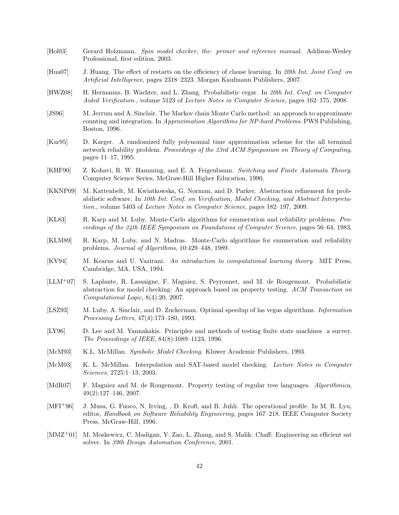- [Hol03] Gerard Holzmann. Spin model checker, the: primer and reference manual. Addison-Wesley Professional, first edition, 2003.
- [Hua07] J. Huang. The effect of restarts on the efficiency of clause learning. In 20th Int. Joint Conf. on Artificial Intelligence, pages 2318–2323. Morgan Kaufmann Publishers, 2007.
- [HWZ08] H. Hermanns, B. Wachter, and L. Zhang. Probabilistic cegar. In 20th Int. Conf. on Computer Aided Verification., volume 5123 of Lecture Notes in Computer Science, pages 162–175, 2008.
- [JS96] M. Jerrum and A. Sinclair. The Markov chain Monte Carlo method: an approach to approximate counting and integration. In Approximation Algorithms for NP-hard Problems. PWS Publishing, Boston, 1996.
- [Kar95] D. Karger. A randomized fully polynomial time approximation scheme for the all terminal network reliability problem. Proceedings of the 23rd ACM Symposium on Theory of Computing, pages 11–17, 1995.
- [KHF90] Z. Kohavi, R. W. Hamming, and E. A. Feigenbaum. Switching and Finite Automata Theory. Computer Science Series, McGraw-Hill Higher Education, 1990.
- [KKNP09] M. Kattenbelt, M. Kwiatkowska, G. Norman, and D. Parker. Abstraction refinement for probabilistic software. In 10th Int. Conf. on Verification, Model Checking, and Abstract Interpretation., volume 5403 of Lecture Notes in Computer Science, pages 182–197, 2009.
- [KL83] R. Karp and M. Luby. Monte-Carlo algorithms for enumeration and reliability problems. Proceedings of the 24th IEEE Symposium on Foundations of Computer Science, pages 56–64, 1983.
- [KLM89] R. Karp, M. Luby, and N. Madras. Monte-Carlo algorithms for enumeration and reliability problems. Journal of Algorithms, 10:429–448, 1989.
- [KV94] M. Kearns and U. Vazirani. An introduction to computational learning theory. MIT Press, Cambridge, MA, USA, 1994.
- [LLM+07] S. Laplante, R. Lassaigne, F. Magniez, S. Peyronnet, and M. de Rougemont. Probabilistic abstraction for model checking: An approach based on property testing. ACM Transaction on Computational Logic, 8(4):20, 2007.
- [LSZ93] M. Luby, A. Sinclair, and D. Zuckerman. Optimal speedup of las vegas algorithms. *Information* Processing Letters, 47(4):173–180, 1993.
- [LY96] D. Lee and M. Yannakakis. Principles and methods of testing finite state machines a survey. The Proceedings of IEEE, 84(8):1089–1123, 1996.
- [McM93] K.L. McMillan. Symbolic Model Checking. Kluwer Academic Publishers, 1993.
- [McM03] K. L. McMillan. Interpolation and SAT-based model checking. Lecture Notes in Computer Sciences, 2725:1–13, 2003.
- [MdR07] F. Magniez and M. de Rougemont. Property testing of regular tree languages. Algorithmica, 49(2):127–146, 2007.
- [MFI<sup>+</sup>96] J. Musa, G. Fuoco, N. Irving, , D. Krofl, and B. Juhli. The operational profile. In M. R. Lyu, editor, Handbook on Software Reliability Engineering, pages 167–218. IEEE Computer Society Press, McGraw-Hill, 1996.
- [MMZ<sup>+</sup>01] M. Moskewicz, C. Madigan, Y. Zao, L. Zhang, and S. Malik. Chaff: Engineering an efficient sat solver. In 39th Design Automation Conference, 2001.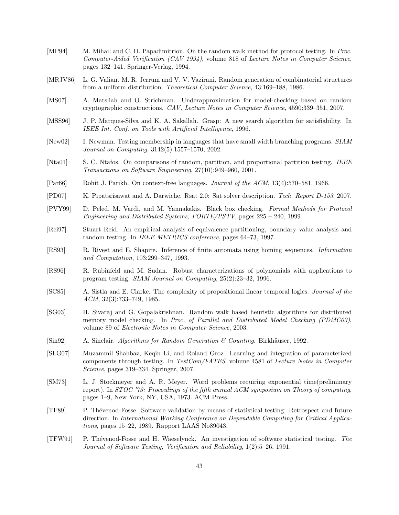- [MP94] M. Mihail and C. H. Papadimitriou. On the random walk method for protocol testing. In Proc. Computer-Aided Verification (CAV 1994), volume 818 of Lecture Notes in Computer Science, pages 132–141. Springer-Verlag, 1994.
- [MRJV86] L. G. Valiant M. R. Jerrum and V. V. Vazirani. Random generation of combinatorial structures from a uniform distribution. Theoretical Computer Science, 43:169–188, 1986.
- [MS07] A. Matsliah and O. Strichman. Underapproximation for model-checking based on random cryptographic constructions. CAV, Lecture Notes in Computer Science, 4590:339–351, 2007.
- [MSS96] J. P. Marques-Silva and K. A. Sakallah. Grasp: A new search algorithm for satisfiability. In IEEE Int. Conf. on Tools with Artificial Intelligence, 1996.
- [New02] I. Newman. Testing membership in languages that have small width branching programs. SIAM Journal on Computing, 3142(5):1557–1570, 2002.
- [Nta01] S. C. Ntafos. On comparisons of random, partition, and proportional partition testing. IEEE Transactions on Software Engineering, 27(10):949–960, 2001.
- [Par66] Rohit J. Parikh. On context-free languages. Journal of the ACM, 13(4):570–581, 1966.
- [PD07] K. Pipatsrisawat and A. Darwiche. Rsat 2.0: Sat solver description. Tech. Report D-153, 2007.
- [PVY99] D. Peled, M. Vardi, and M. Yannakakis. Black box checking. Formal Methods for Protocol Engineering and Distributed Systems, FORTE/PSTV, pages 225 – 240, 1999.
- [Rei97] Stuart Reid. An empirical analysis of equivalence partitioning, boundary value analysis and random testing. In IEEE METRICS conference, pages 64–73, 1997.
- [RS93] R. Rivest and E. Shapire. Inference of finite automata using homing sequences. Information and Computation, 103:299–347, 1993.
- [RS96] R. Rubinfeld and M. Sudan. Robust characterizations of polynomials with applications to program testing. SIAM Journal on Computing, 25(2):23–32, 1996.
- [SC85] A. Sistla and E. Clarke. The complexity of propositional linear temporal logics. Journal of the ACM, 32(3):733–749, 1985.
- [SG03] H. Sivaraj and G. Gopalakrishnan. Random walk based heuristic algorithms for distributed memory model checking. In Proc. of Parallel and Distributed Model Checking (PDMC03), volume 89 of Electronic Notes in Computer Science, 2003.
- [Sin92] A. Sinclair. Algorithms for Random Generation  $\mathcal C$  Counting. Birkhäuser, 1992.
- [SLG07] Muzammil Shahbaz, Keqin Li, and Roland Groz. Learning and integration of parameterized components through testing. In TestCom/FATES, volume 4581 of Lecture Notes in Computer Science, pages 319–334. Springer, 2007.
- [SM73] L. J. Stockmeyer and A. R. Meyer. Word problems requiring exponential time(preliminary report). In STOC '73: Proceedings of the fifth annual ACM symposium on Theory of computing, pages 1–9, New York, NY, USA, 1973. ACM Press.
- [TF89] P. Th´evenod-Fosse. Software validation by means of statistical testing: Retrospect and future direction. In International Working Conference on Dependable Computing for Critical Applications, pages 15–22, 1989. Rapport LAAS No89043.
- [TFW91] P. Th´evenod-Fosse and H. Waeselynck. An investigation of software statistical testing. The Journal of Software Testing, Verification and Reliability, 1(2):5–26, 1991.